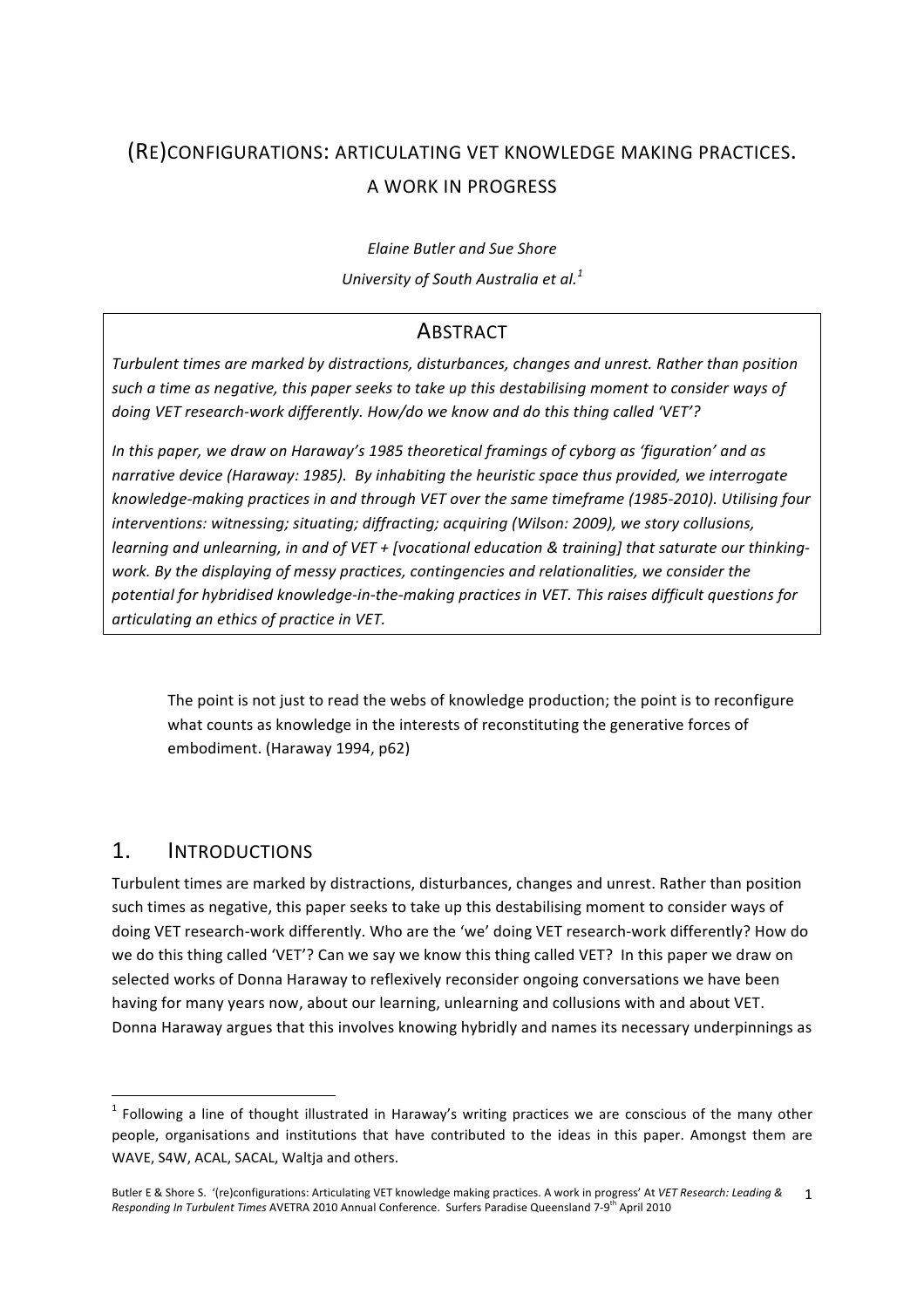# (RE)CONFIGURATIONS: ARTICULATING VET KNOWLEDGE MAKING PRACTICES. A WORK IN PROGRESS

*Elaine Butler and Sue Shore University of South Australia et al.<sup>1</sup>*

## **ABSTRACT**

*Turbulent times are marked by distractions, disturbances, changes and unrest. Rather than position such a time as negative, this paper seeks to take up this destabilising moment to consider ways of doing VET research‐work differently. How/do we know and do this thing called 'VET'?* 

*In this paper, we draw on Haraway's 1985 theoretical framings of cyborg as 'figuration' and as narrative device (Haraway: 1985). By inhabiting the heuristic space thus provided, we interrogate knowledge‐making practices in and through VET over the same timeframe (1985‐2010). Utilising four interventions: witnessing; situating; diffracting; acquiring (Wilson: 2009), we story collusions, learning and unlearning, in and of VET + [vocational education & training] that saturate our thinking‐ work. By the displaying of messy practices, contingencies and relationalities, we consider the potential for hybridised knowledge‐in‐the‐making practices in VET. This raises difficult questions for articulating an ethics of practice in VET.*

The point is not just to read the webs of knowledge production; the point is to reconfigure what counts as knowledge in the interests of reconstituting the generative forces of embodiment. (Haraway 1994, p62)

## 1. INTRODUCTIONS

<u> 1989 - Johann Stein, fransk politik (d. 1989)</u>

Turbulent times are marked by distractions, disturbances, changes and unrest. Rather than position such times as negative, this paper seeks to take up this destabilising moment to consider ways of doing VET research‐work differently. Who are the 'we' doing VET research‐work differently? How do we do this thing called 'VET'? Can we say we know this thing called VET? In this paper we draw on selected works of Donna Haraway to reflexively reconsider ongoing conversations we have been having for many years now, about our learning, unlearning and collusions with and about VET. Donna Haraway argues that this involves knowing hybridly and names its necessary underpinnings as

 $1$  Following a line of thought illustrated in Haraway's writing practices we are conscious of the many other people, organisations and institutions that have contributed to the ideas in this paper. Amongst them are WAVE, S4W, ACAL, SACAL, Waltja and others.

Butler E & Shore S. '(re)configurations: Articulating VET knowledge making practices. A work in progress' At *VET Research: Leading &*  Responding In Turbulent Times AVETRA 2010 Annual Conference. Surfers Paradise Queensland 7-9<sup>th</sup> April 2010 1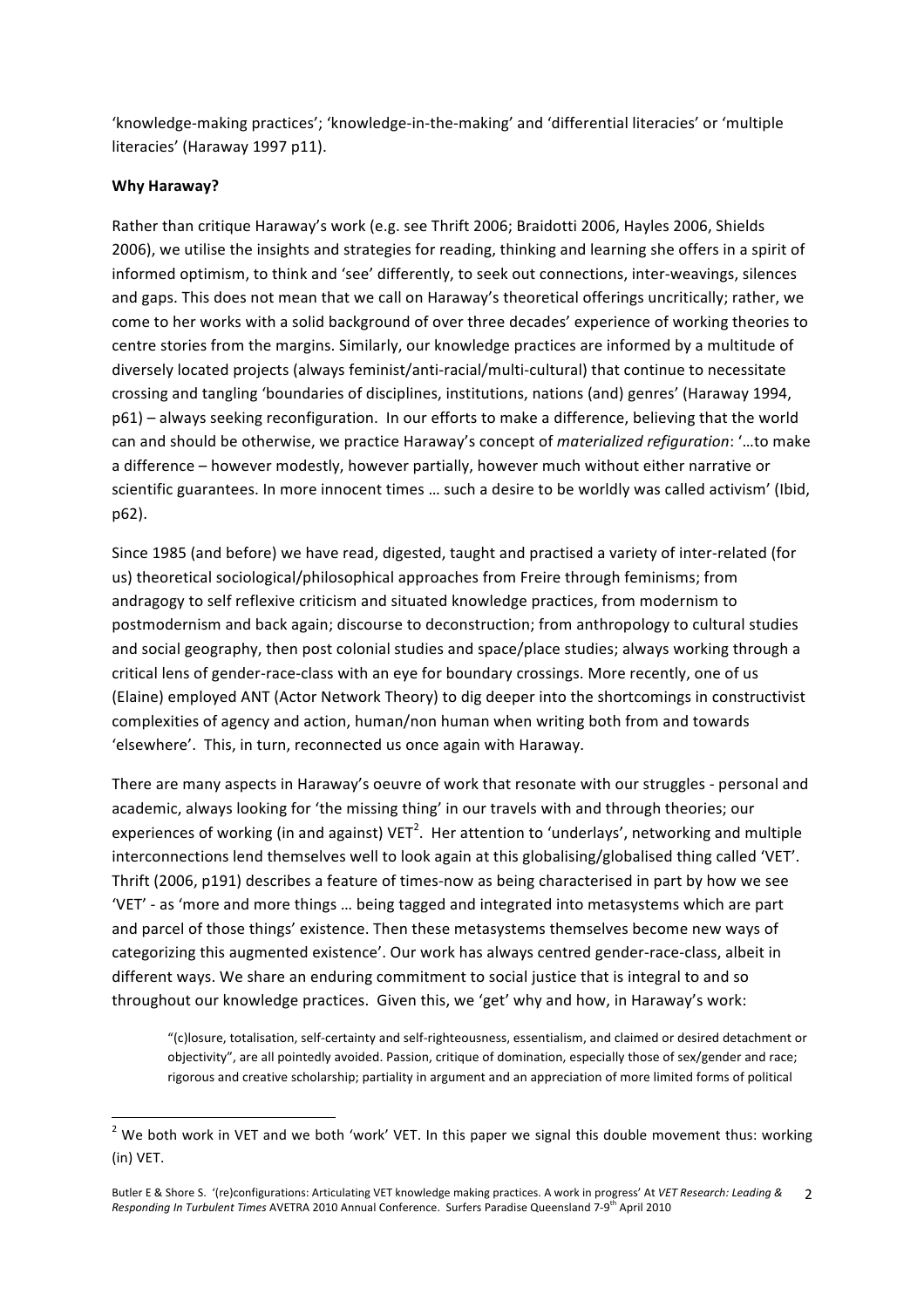'knowledge‐making practices'; 'knowledge‐in‐the‐making' and 'differential literacies' or 'multiple literacies' (Haraway 1997 p11).

#### **Why Haraway?**

Rather than critique Haraway's work (e.g. see Thrift 2006; Braidotti 2006, Hayles 2006, Shields 2006), we utilise the insights and strategies for reading, thinking and learning she offers in a spirit of informed optimism, to think and 'see' differently, to seek out connections, inter‐weavings, silences and gaps. This does not mean that we call on Haraway's theoretical offerings uncritically; rather, we come to her works with a solid background of over three decades' experience of working theories to centre stories from the margins. Similarly, our knowledge practices are informed by a multitude of diversely located projects (always feminist/anti‐racial/multi‐cultural) that continue to necessitate crossing and tangling 'boundaries of disciplines, institutions, nations (and) genres' (Haraway 1994, p61) – always seeking reconfiguration. In our efforts to make a difference, believing that the world can and should be otherwise, we practice Haraway's concept of *materialized refiguration*: '…to make a difference – however modestly, however partially, however much without either narrative or scientific guarantees. In more innocent times … such a desire to be worldly was called activism' (Ibid, p62).

Since 1985 (and before) we have read, digested, taught and practised a variety of inter‐related (for us) theoretical sociological/philosophical approaches from Freire through feminisms; from andragogy to self reflexive criticism and situated knowledge practices, from modernism to postmodernism and back again; discourse to deconstruction; from anthropology to cultural studies and social geography, then post colonial studies and space/place studies; always working through a critical lens of gender‐race‐class with an eye for boundary crossings. More recently, one of us (Elaine) employed ANT (Actor Network Theory) to dig deeper into the shortcomings in constructivist complexities of agency and action, human/non human when writing both from and towards 'elsewhere'. This, in turn, reconnected us once again with Haraway.

There are many aspects in Haraway's oeuvre of work that resonate with our struggles ‐ personal and academic, always looking for 'the missing thing' in our travels with and through theories; our experiences of working (in and against) VET<sup>2</sup>. Her attention to 'underlays', networking and multiple interconnections lend themselves well to look again at this globalising/globalised thing called 'VET'. Thrift (2006, p191) describes a feature of times‐now as being characterised in part by how we see 'VET' ‐ as 'more and more things … being tagged and integrated into metasystems which are part and parcel of those things' existence. Then these metasystems themselves become new ways of categorizing this augmented existence'. Our work has always centred gender‐race‐class, albeit in different ways. We share an enduring commitment to social justice that is integral to and so throughout our knowledge practices. Given this, we 'get' why and how, in Haraway's work:

"(c)losure, totalisation, self‐certainty and self‐righteousness, essentialism, and claimed or desired detachment or objectivity", are all pointedly avoided. Passion, critique of domination, especially those of sex/gender and race; rigorous and creative scholarship; partiality in argument and an appreciation of more limited forms of political

<u> 1989 - Johann Stein, fransk politik (d. 1989)</u>

 $^2$  We both work in VET and we both 'work' VET. In this paper we signal this double movement thus: working (in) VET.

Butler E & Shore S. '(re)configurations: Articulating VET knowledge making practices. A work in progress' At *VET Research: Leading &*  Responding In Turbulent Times AVETRA 2010 Annual Conference. Surfers Paradise Queensland 7-9<sup>th</sup> April 2010 2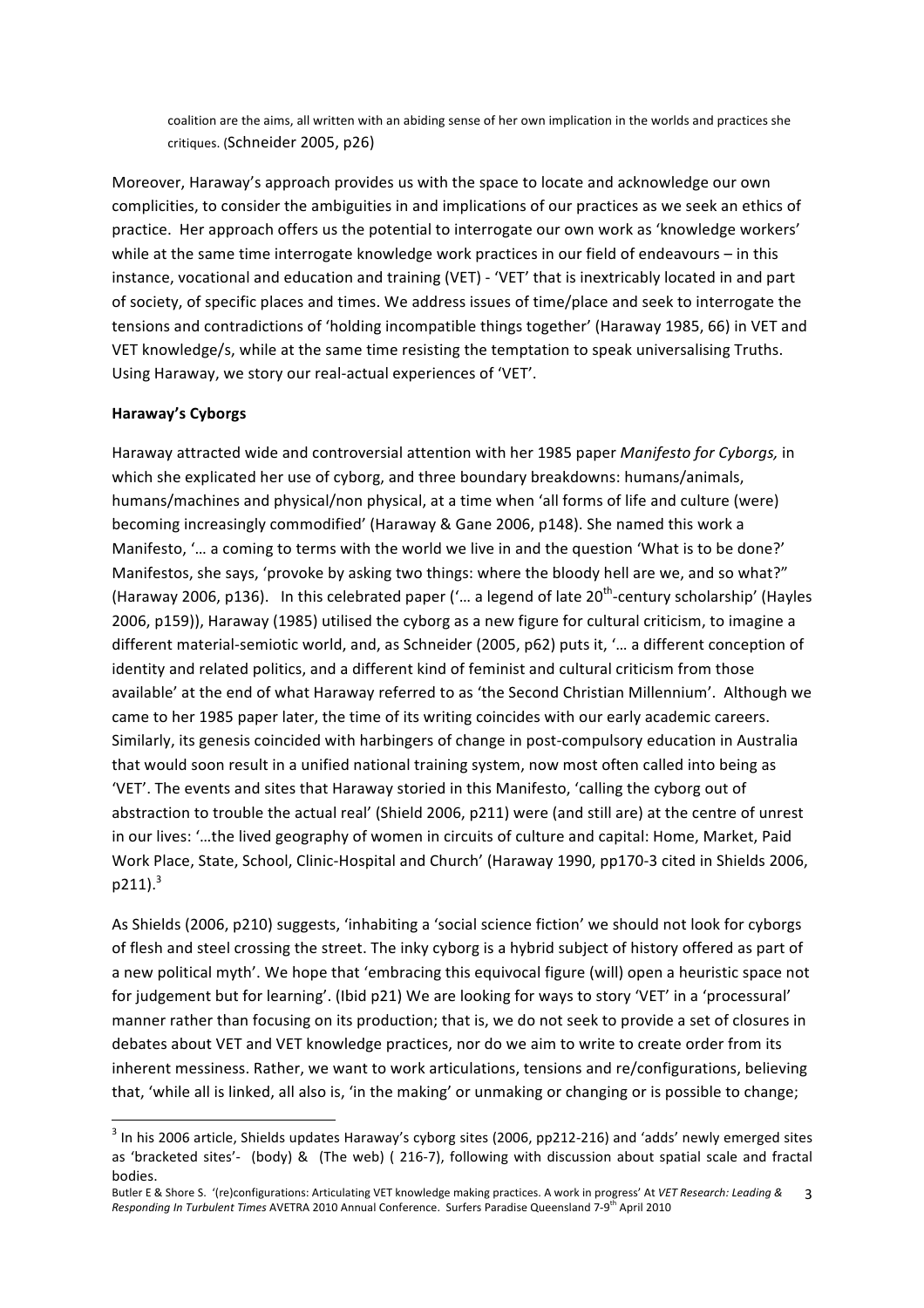coalition are the aims, all written with an abiding sense of her own implication in the worlds and practices she critiques. (Schneider 2005, p26)

Moreover, Haraway's approach provides us with the space to locate and acknowledge our own complicities, to consider the ambiguities in and implications of our practices as we seek an ethics of practice. Her approach offers us the potential to interrogate our own work as 'knowledge workers' while at the same time interrogate knowledge work practices in our field of endeavours – in this instance, vocational and education and training (VET) ‐ 'VET' that is inextricably located in and part of society, of specific places and times. We address issues of time/place and seek to interrogate the tensions and contradictions of 'holding incompatible things together' (Haraway 1985, 66) in VET and VET knowledge/s, while at the same time resisting the temptation to speak universalising Truths. Using Haraway, we story our real‐actual experiences of 'VET'.

#### **Haraway's Cyborgs**

<u> 1989 - Johann Stein, fransk politik (d. 1989)</u>

Haraway attracted wide and controversial attention with her 1985 paper *Manifesto for Cyborgs,* in which she explicated her use of cyborg, and three boundary breakdowns: humans/animals, humans/machines and physical/non physical, at a time when 'all forms of life and culture (were) becoming increasingly commodified' (Haraway & Gane 2006, p148). She named this work a Manifesto, '… a coming to terms with the world we live in and the question 'What is to be done?' Manifestos, she says, 'provoke by asking two things: where the bloody hell are we, and so what?" (Haraway 2006, p136). In this celebrated paper ('... a legend of late  $20^{th}$ -century scholarship' (Hayles 2006, p159)), Haraway (1985) utilised the cyborg as a new figure for cultural criticism, to imagine a different material‐semiotic world, and, as Schneider (2005, p62) puts it, '… a different conception of identity and related politics, and a different kind of feminist and cultural criticism from those available' at the end of what Haraway referred to as 'the Second Christian Millennium'. Although we came to her 1985 paper later, the time of its writing coincides with our early academic careers. Similarly, its genesis coincided with harbingers of change in post‐compulsory education in Australia that would soon result in a unified national training system, now most often called into being as 'VET'. The events and sites that Haraway storied in this Manifesto, 'calling the cyborg out of abstraction to trouble the actual real' (Shield 2006, p211) were (and still are) at the centre of unrest in our lives: '…the lived geography of women in circuits of culture and capital: Home, Market, Paid Work Place, State, School, Clinic‐Hospital and Church' (Haraway 1990, pp170‐3 cited in Shields 2006,  $p211).$ <sup>3</sup>

As Shields (2006, p210) suggests, 'inhabiting a 'social science fiction' we should not look for cyborgs of flesh and steel crossing the street. The inky cyborg is a hybrid subject of history offered as part of a new political myth'. We hope that 'embracing this equivocal figure (will) open a heuristic space not for judgement but for learning'. (Ibid p21) We are looking for ways to story 'VET' in a 'processural' manner rather than focusing on its production; that is, we do not seek to provide a set of closures in debates about VET and VET knowledge practices, nor do we aim to write to create order from its inherent messiness. Rather, we want to work articulations, tensions and re/configurations, believing that, 'while all is linked, all also is, 'in the making' or unmaking or changing or is possible to change;

 $^3$  In his 2006 article, Shields updates Haraway's cyborg sites (2006, pp212-216) and 'adds' newly emerged sites as 'bracketed sites'- (body) & (The web) (216-7), following with discussion about spatial scale and fractal bodies.

Butler E & Shore S. '(re)configurations: Articulating VET knowledge making practices. A work in progress' At *VET Research: Leading &*  Responding In Turbulent Times AVETRA 2010 Annual Conference. Surfers Paradise Queensland 7-9<sup>th</sup> April 2010 3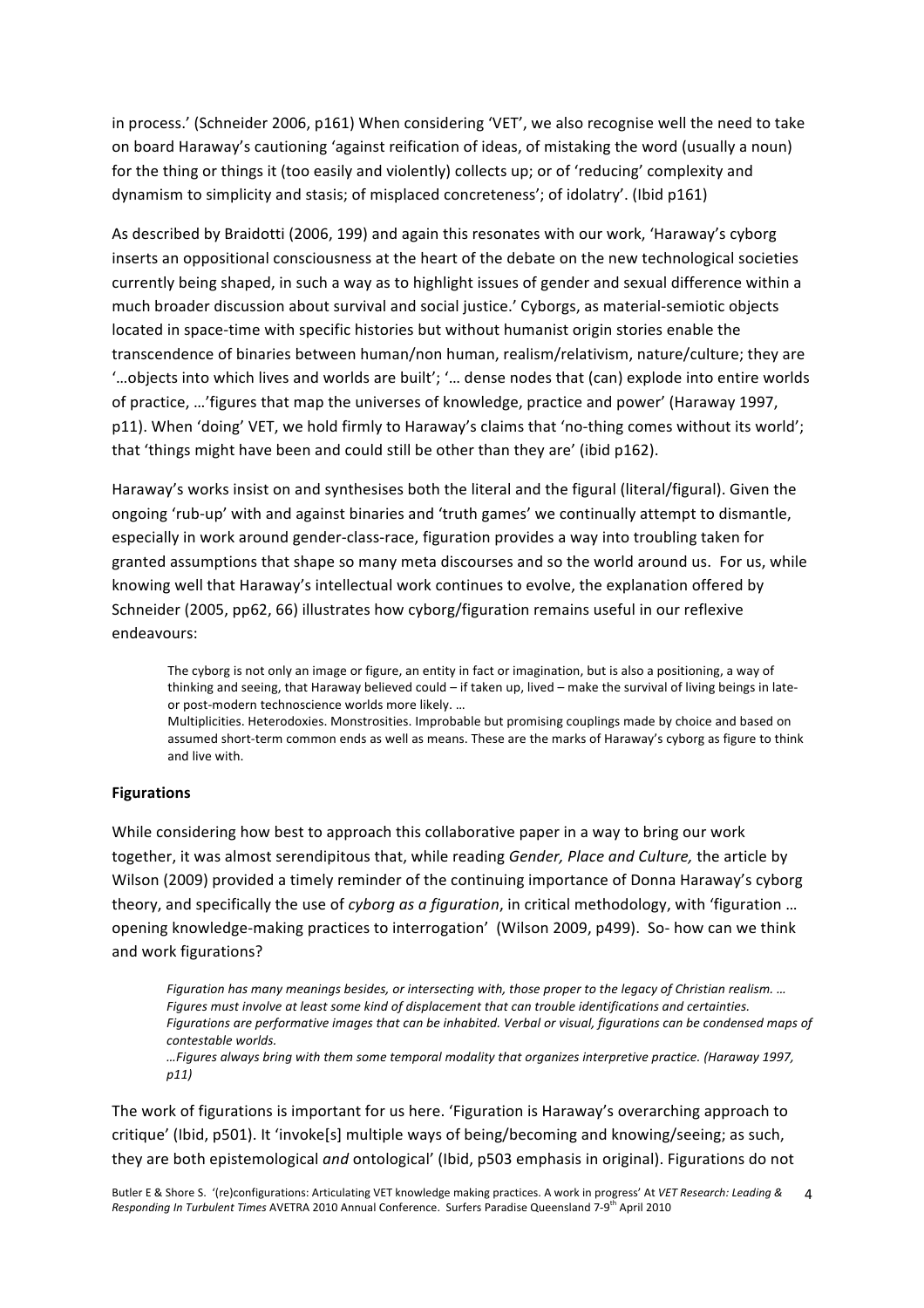in process.' (Schneider 2006, p161) When considering 'VET', we also recognise well the need to take on board Haraway's cautioning 'against reification of ideas, of mistaking the word (usually a noun) for the thing or things it (too easily and violently) collects up; or of 'reducing' complexity and dynamism to simplicity and stasis; of misplaced concreteness'; of idolatry'. (Ibid p161)

As described by Braidotti (2006, 199) and again this resonates with our work, 'Haraway's cyborg inserts an oppositional consciousness at the heart of the debate on the new technological societies currently being shaped, in such a way as to highlight issues of gender and sexual difference within a much broader discussion about survival and social justice.' Cyborgs, as material‐semiotic objects located in space‐time with specific histories but without humanist origin stories enable the transcendence of binaries between human/non human, realism/relativism, nature/culture; they are '…objects into which lives and worlds are built'; '… dense nodes that (can) explode into entire worlds of practice, …'figures that map the universes of knowledge, practice and power' (Haraway 1997, p11). When 'doing' VET, we hold firmly to Haraway's claims that 'no-thing comes without its world'; that 'things might have been and could still be other than they are' (ibid p162).

Haraway's works insist on and synthesises both the literal and the figural (literal/figural). Given the ongoing 'rub‐up' with and against binaries and 'truth games' we continually attempt to dismantle, especially in work around gender‐class‐race, figuration provides a way into troubling taken for granted assumptions that shape so many meta discourses and so the world around us. For us, while knowing well that Haraway's intellectual work continues to evolve, the explanation offered by Schneider (2005, pp62, 66) illustrates how cyborg/figuration remains useful in our reflexive endeavours:

The cyborg is not only an image or figure, an entity in fact or imagination, but is also a positioning, a way of thinking and seeing, that Haraway believed could – if taken up, lived – make the survival of living beings in late‐ or post-modern technoscience worlds more likely. ...

Multiplicities. Heterodoxies. Monstrosities. Improbable but promising couplings made by choice and based on assumed short-term common ends as well as means. These are the marks of Haraway's cyborg as figure to think and live with.

#### **Figurations**

While considering how best to approach this collaborative paper in a way to bring our work together, it was almost serendipitous that, while reading *Gender, Place and Culture,* the article by Wilson (2009) provided a timely reminder of the continuing importance of Donna Haraway's cyborg theory, and specifically the use of *cyborg as a figuration*, in critical methodology, with 'figuration … opening knowledge‐making practices to interrogation' (Wilson 2009, p499). So‐ how can we think and work figurations?

*Figuration has many meanings besides, or intersecting with, those proper to the legacy of Christian realism. … Figures must involve at least some kind of displacement that can trouble identifications and certainties. Figurations are performative images that can be inhabited. Verbal or visual, figurations can be condensed maps of contestable worlds.*

*…Figures always bring with them some temporal modality that organizes interpretive practice. (Haraway 1997, p11)*

The work of figurations is important for us here. 'Figuration is Haraway's overarching approach to critique' (Ibid, p501). It 'invoke[s] multiple ways of being/becoming and knowing/seeing; as such, they are both epistemological *and* ontological' (Ibid, p503 emphasis in original). Figurations do not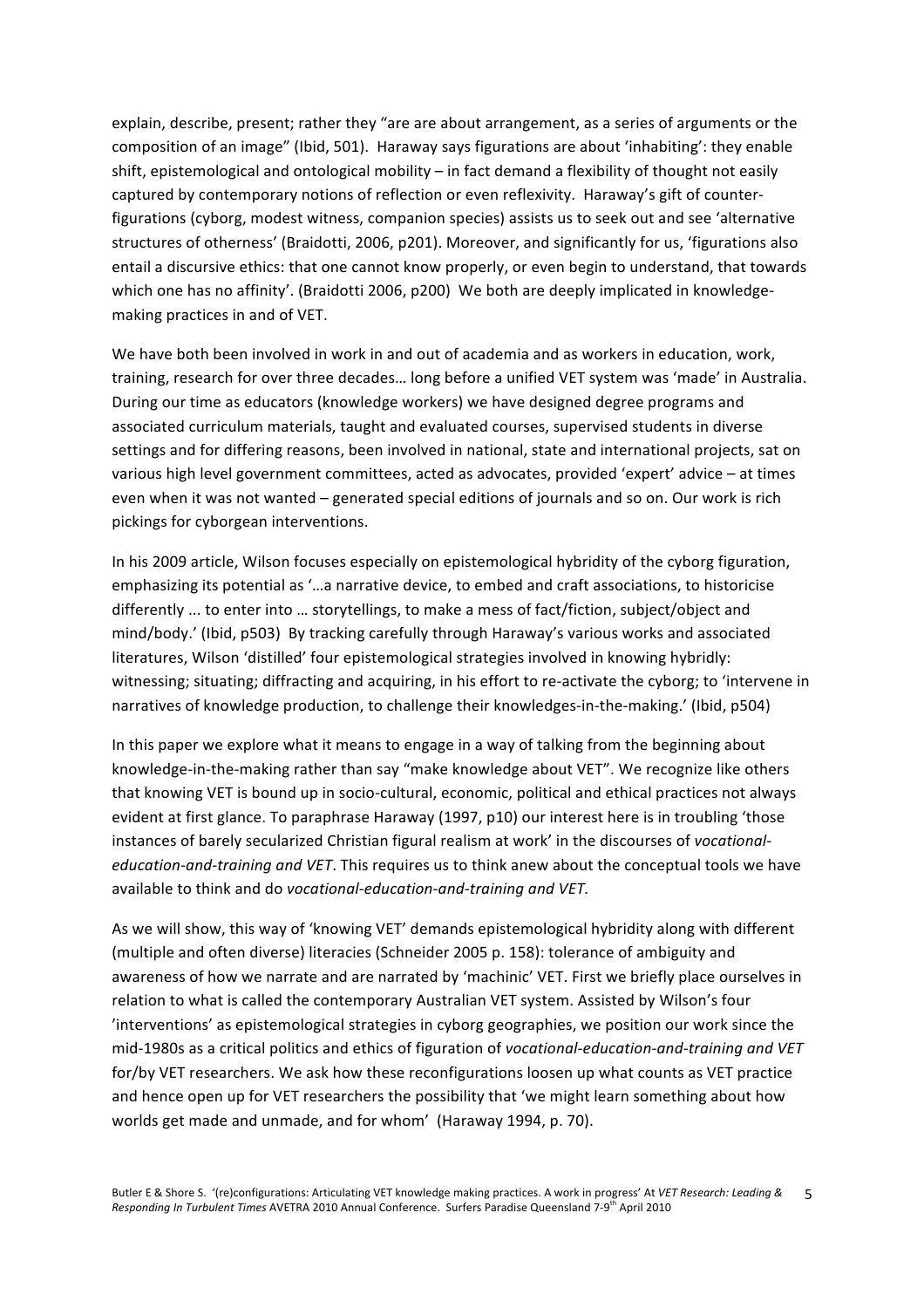explain, describe, present; rather they "are are about arrangement, as a series of arguments or the composition of an image" (Ibid, 501). Haraway says figurations are about 'inhabiting': they enable shift, epistemological and ontological mobility – in fact demand a flexibility of thought not easily captured by contemporary notions of reflection or even reflexivity. Haraway's gift of counter‐ figurations (cyborg, modest witness, companion species) assists us to seek out and see 'alternative structures of otherness' (Braidotti, 2006, p201). Moreover, and significantly for us, 'figurations also entail a discursive ethics: that one cannot know properly, or even begin to understand, that towards which one has no affinity'. (Braidotti 2006, p200) We both are deeply implicated in knowledgemaking practices in and of VET.

We have both been involved in work in and out of academia and as workers in education, work, training, research for over three decades… long before a unified VET system was 'made' in Australia. During our time as educators (knowledge workers) we have designed degree programs and associated curriculum materials, taught and evaluated courses, supervised students in diverse settings and for differing reasons, been involved in national, state and international projects, sat on various high level government committees, acted as advocates, provided 'expert' advice – at times even when it was not wanted – generated special editions of journals and so on. Our work is rich pickings for cyborgean interventions.

In his 2009 article, Wilson focuses especially on epistemological hybridity of the cyborg figuration, emphasizing its potential as '…a narrative device, to embed and craft associations, to historicise differently ... to enter into … storytellings, to make a mess of fact/fiction, subject/object and mind/body.' (Ibid, p503) By tracking carefully through Haraway's various works and associated literatures, Wilson 'distilled' four epistemological strategies involved in knowing hybridly: witnessing; situating; diffracting and acquiring, in his effort to re-activate the cyborg; to 'intervene in narratives of knowledge production, to challenge their knowledges-in-the-making.' (Ibid, p504)

In this paper we explore what it means to engage in a way of talking from the beginning about knowledge-in-the-making rather than say "make knowledge about VET". We recognize like others that knowing VET is bound up in socio‐cultural, economic, political and ethical practices not always evident at first glance. To paraphrase Haraway (1997, p10) our interest here is in troubling 'those instances of barely secularized Christian figural realism at work' in the discourses of *vocational‐ education‐and‐training and VET*. This requires us to think anew about the conceptual tools we have available to think and do *vocational‐education‐and‐training and VET.* 

As we will show, this way of 'knowing VET' demands epistemological hybridity along with different (multiple and often diverse) literacies (Schneider 2005 p. 158): tolerance of ambiguity and awareness of how we narrate and are narrated by 'machinic' VET. First we briefly place ourselves in relation to what is called the contemporary Australian VET system. Assisted by Wilson's four 'interventions' as epistemological strategies in cyborg geographies, we position our work since the mid‐1980s as a critical politics and ethics of figuration of *vocational‐education‐and‐training and VET* for/by VET researchers. We ask how these reconfigurations loosen up what counts as VET practice and hence open up for VET researchers the possibility that 'we might learn something about how worlds get made and unmade, and for whom' (Haraway 1994, p. 70).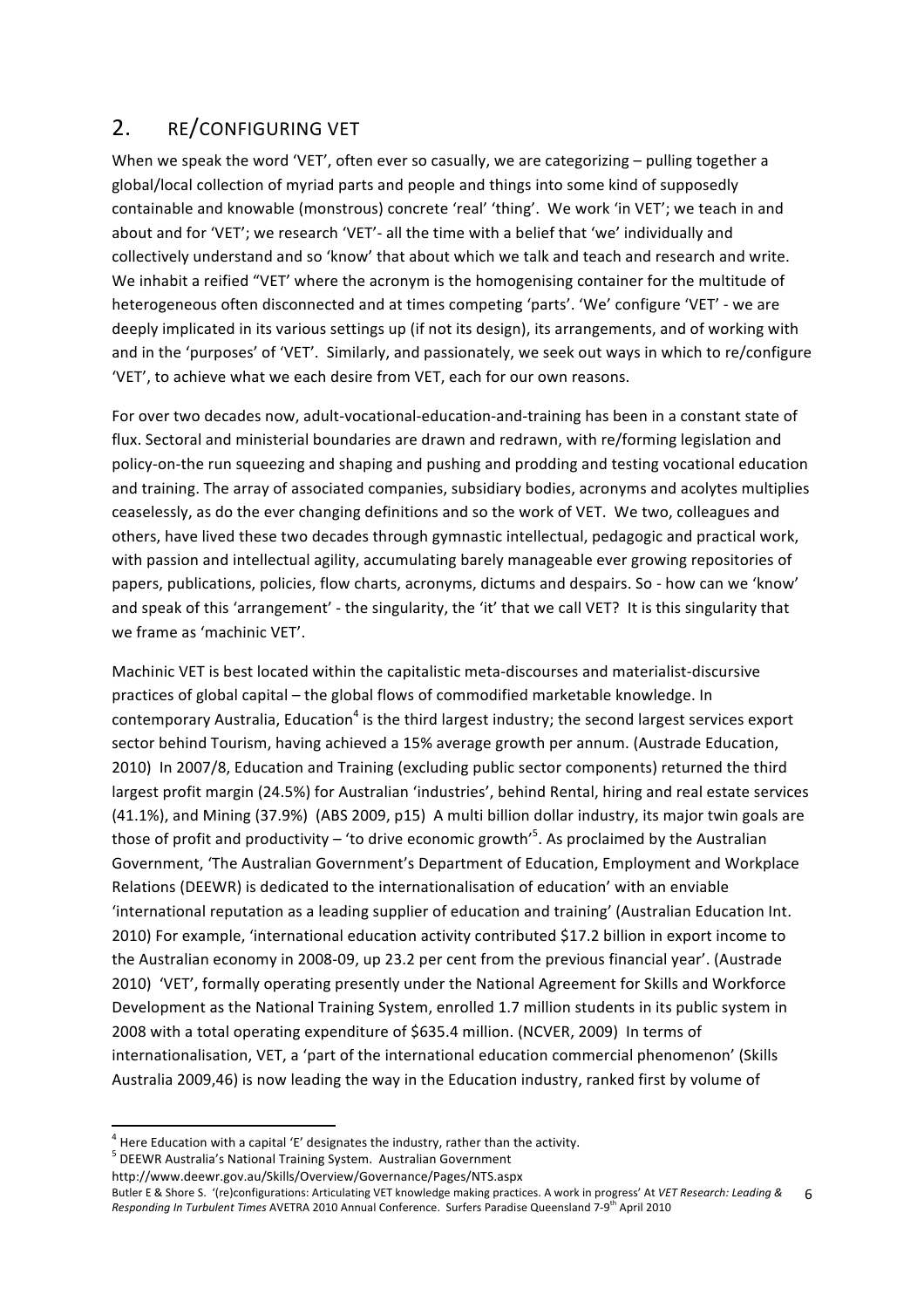## 2. RE/CONFIGURING VET

When we speak the word 'VET', often ever so casually, we are categorizing - pulling together a global/local collection of myriad parts and people and things into some kind of supposedly containable and knowable (monstrous) concrete 'real' 'thing'. We work 'in VET'; we teach in and about and for 'VET'; we research 'VET'‐ all the time with a belief that 'we' individually and collectively understand and so 'know' that about which we talk and teach and research and write. We inhabit a reified "VET' where the acronym is the homogenising container for the multitude of heterogeneous often disconnected and at times competing 'parts'. 'We' configure 'VET' ‐ we are deeply implicated in its various settings up (if not its design), its arrangements, and of working with and in the 'purposes' of 'VET'. Similarly, and passionately, we seek out ways in which to re/configure 'VET', to achieve what we each desire from VET, each for our own reasons.

For over two decades now, adult‐vocational‐education‐and‐training has been in a constant state of flux. Sectoral and ministerial boundaries are drawn and redrawn, with re/forming legislation and policy‐on‐the run squeezing and shaping and pushing and prodding and testing vocational education and training. The array of associated companies, subsidiary bodies, acronyms and acolytes multiplies ceaselessly, as do the ever changing definitions and so the work of VET. We two, colleagues and others, have lived these two decades through gymnastic intellectual, pedagogic and practical work, with passion and intellectual agility, accumulating barely manageable ever growing repositories of papers, publications, policies, flow charts, acronyms, dictums and despairs. So ‐ how can we 'know' and speak of this 'arrangement' - the singularity, the 'it' that we call VET? It is this singularity that we frame as 'machinic VET'.

Machinic VET is best located within the capitalistic meta‐discourses and materialist‐discursive practices of global capital – the global flows of commodified marketable knowledge. In contemporary Australia, Education<sup>4</sup> is the third largest industry; the second largest services export sector behind Tourism, having achieved a 15% average growth per annum. (Austrade Education, 2010) In 2007/8, Education and Training (excluding public sector components) returned the third largest profit margin (24.5%) for Australian 'industries', behind Rental, hiring and real estate services (41.1%), and Mining (37.9%) (ABS 2009, p15) A multi billion dollar industry, its major twin goals are those of profit and productivity – 'to drive economic growth'<sup>5</sup>. As proclaimed by the Australian Government, 'The Australian Government's Department of Education, Employment and Workplace Relations (DEEWR) is dedicated to the internationalisation of education' with an enviable 'international reputation as a leading supplier of education and training' (Australian Education Int. 2010) For example, 'international education activity contributed \$17.2 billion in export income to the Australian economy in 2008‐09, up 23.2 per cent from the previous financial year'. (Austrade 2010) 'VET', formally operating presently under the National Agreement for Skills and Workforce Development as the National Training System, enrolled 1.7 million students in its public system in 2008 with a total operating expenditure of \$635.4 million. (NCVER, 2009) In terms of internationalisation, VET, a 'part of the international education commercial phenomenon' (Skills Australia 2009,46) is now leading the way in the Education industry, ranked first by volume of

 $^4$  Here Education with a capital 'E' designates the industry, rather than the activity.

 $<sup>5</sup>$  DEEWR Australia's National Training System. Australian Government</sup>

http://www.deewr.gov.au/Skills/Overview/Governance/Pages/NTS.aspx

Butler E & Shore S. '(re)configurations: Articulating VET knowledge making practices. A work in progress' At *VET Research: Leading &*  Responding In Turbulent Times AVETRA 2010 Annual Conference. Surfers Paradise Queensland 7-9<sup>th</sup> April 2010 6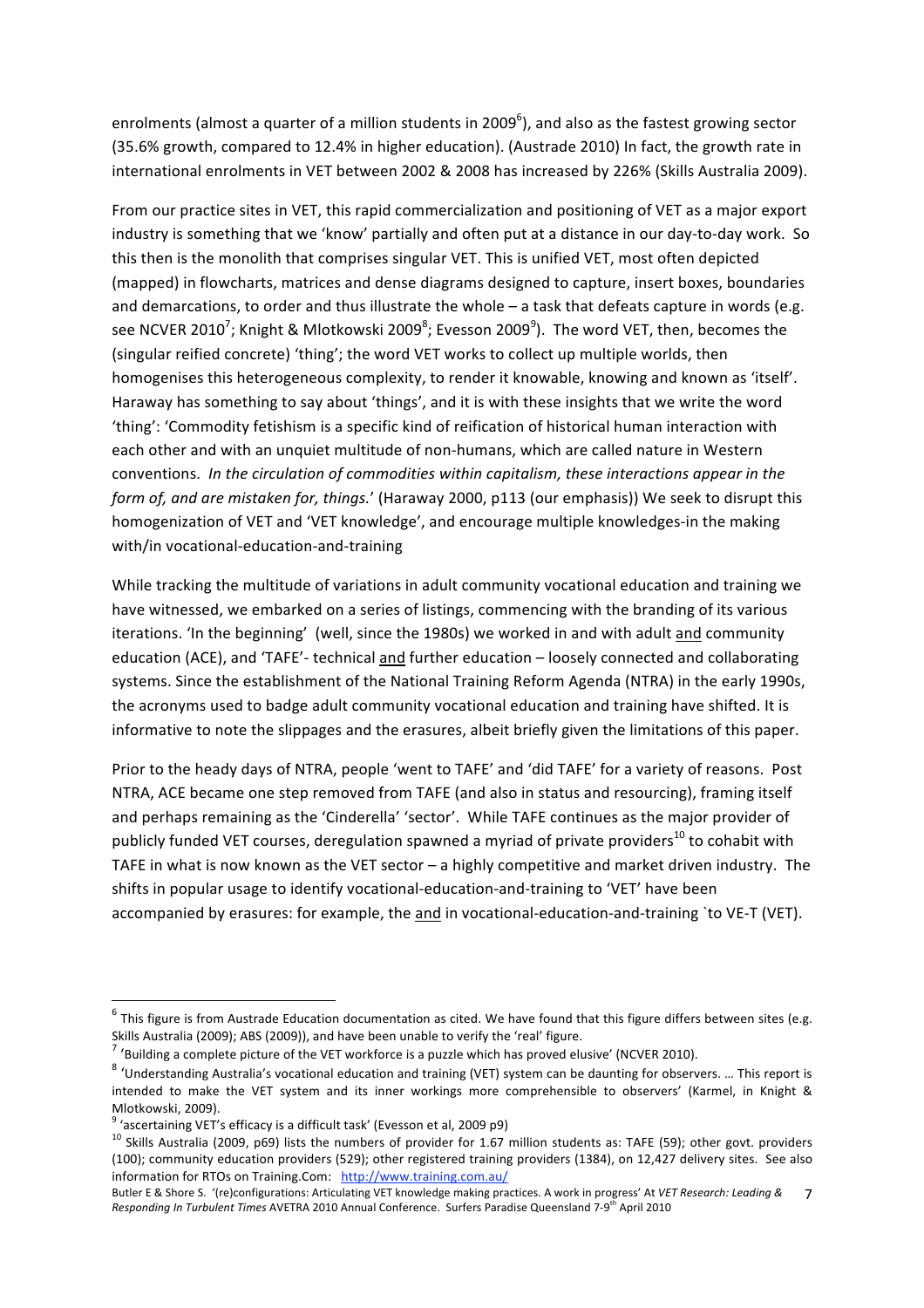enrolments (almost a quarter of a million students in 2009<sup>6</sup>), and also as the fastest growing sector (35.6% growth, compared to 12.4% in higher education). (Austrade 2010) In fact, the growth rate in international enrolments in VET between 2002 & 2008 has increased by 226% (Skills Australia 2009).

From our practice sites in VET, this rapid commercialization and positioning of VET as a major export industry is something that we 'know' partially and often put at a distance in our day‐to‐day work. So this then is the monolith that comprises singular VET. This is unified VET, most often depicted (mapped) in flowcharts, matrices and dense diagrams designed to capture, insert boxes, boundaries and demarcations, to order and thus illustrate the whole – a task that defeats capture in words (e.g. see NCVER 2010<sup>7</sup>; Knight & Mlotkowski 2009 $^8$ ; Evesson 2009 $^9$ ). The word VET, then, becomes the (singular reified concrete) 'thing'; the word VET works to collect up multiple worlds, then homogenises this heterogeneous complexity, to render it knowable, knowing and known as 'itself'. Haraway has something to say about 'things', and it is with these insights that we write the word 'thing': 'Commodity fetishism is a specific kind of reification of historical human interaction with each other and with an unquiet multitude of non‐humans, which are called nature in Western conventions. *In the circulation of commodities within capitalism, these interactions appear in the form of, and are mistaken for, things.*' (Haraway 2000, p113 (our emphasis)) We seek to disrupt this homogenization of VET and 'VET knowledge', and encourage multiple knowledges‐in the making with/in vocational-education-and-training

While tracking the multitude of variations in adult community vocational education and training we have witnessed, we embarked on a series of listings, commencing with the branding of its various iterations. 'In the beginning' (well, since the 1980s) we worked in and with adult and community education (ACE), and 'TAFE'‐ technical and further education – loosely connected and collaborating systems. Since the establishment of the National Training Reform Agenda (NTRA) in the early 1990s, the acronyms used to badge adult community vocational education and training have shifted. It is informative to note the slippages and the erasures, albeit briefly given the limitations of this paper.

Prior to the heady days of NTRA, people 'went to TAFE' and 'did TAFE' for a variety of reasons. Post NTRA, ACE became one step removed from TAFE (and also in status and resourcing), framing itself and perhaps remaining as the 'Cinderella' 'sector'. While TAFE continues as the major provider of publicly funded VET courses, deregulation spawned a myriad of private providers<sup>10</sup> to cohabit with TAFE in what is now known as the VET sector – a highly competitive and market driven industry. The shifts in popular usage to identify vocational‐education‐and‐training to 'VET' have been accompanied by erasures: for example, the and in vocational‐education‐and‐training `to VE‐T (VET).

<u> 1989 - Johann Stein, fransk politik (d. 1989)</u>

 $6$  This figure is from Austrade Education documentation as cited. We have found that this figure differs between sites (e.g. Skills Australia (2009); ABS (2009)), and have been unable to verify the 'real' figure.<br><sup>7</sup> Shuilding a sagnalate aisture of the VET workfasse is a muscle which has around all

 $\mu$  'Building a complete picture of the VET workforce is a puzzle which has proved elusive' (NCVER 2010).<br>8 (Understanding Australia's usestional education and training (UET) quaters are haddoughing for about

 <sup>&#</sup>x27;Understanding Australia's vocational education and training (VET) system can be daunting for observers. … This report is intended to make the VET system and its inner workings more comprehensible to observers' (Karmel, in Knight & Mlotkowski, 2009).

 $9$  'ascertaining VET's efficacy is a difficult task' (Evesson et al, 2009 p9)

<sup>&</sup>lt;sup>10</sup> Skills Australia (2009, p69) lists the numbers of provider for 1.67 million students as: TAFE (59); other govt. providers (100); community education providers (529); other registered training providers (1384), on 12,427 delivery sites. See also information for RTOs on Training.Com: http://www.training.com.au/

Butler E & Shore S. '(re)configurations: Articulating VET knowledge making practices. A work in progress' At *VET Research: Leading &*  Responding In Turbulent Times AVETRA 2010 Annual Conference. Surfers Paradise Queensland 7-9<sup>th</sup> April 2010 7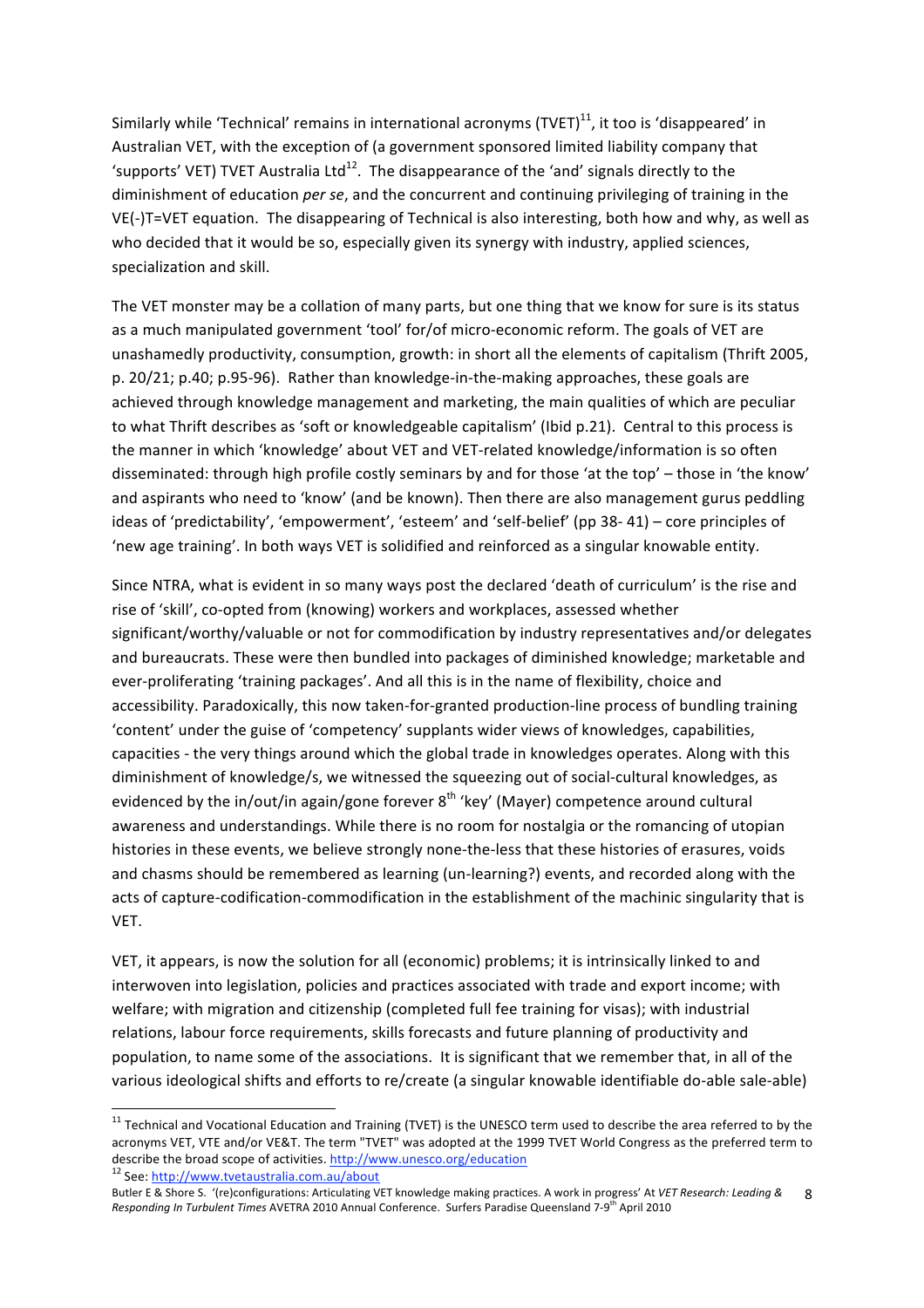Similarly while 'Technical' remains in international acronyms (TVET) $^{11}$ , it too is 'disappeared' in Australian VET, with the exception of (a government sponsored limited liability company that 'supports' VET) TVET Australia Ltd<sup>12</sup>. The disappearance of the 'and' signals directly to the diminishment of education *per se*, and the concurrent and continuing privileging of training in the VE(‐)T=VET equation. The disappearing of Technical is also interesting, both how and why, as well as who decided that it would be so, especially given its synergy with industry, applied sciences, specialization and skill.

The VET monster may be a collation of many parts, but one thing that we know for sure is its status as a much manipulated government 'tool' for/of micro-economic reform. The goals of VET are unashamedly productivity, consumption, growth: in short all the elements of capitalism (Thrift 2005, p. 20/21; p.40; p.95‐96). Rather than knowledge‐in‐the‐making approaches, these goals are achieved through knowledge management and marketing, the main qualities of which are peculiar to what Thrift describes as 'soft or knowledgeable capitalism' (Ibid p.21). Central to this process is the manner in which 'knowledge' about VET and VET-related knowledge/information is so often disseminated: through high profile costly seminars by and for those 'at the top' – those in 'the know' and aspirants who need to 'know' (and be known). Then there are also management gurus peddling ideas of 'predictability', 'empowerment', 'esteem' and 'self‐belief' (pp 38‐ 41) – core principles of 'new age training'. In both ways VET is solidified and reinforced as a singular knowable entity.

Since NTRA, what is evident in so many ways post the declared 'death of curriculum' is the rise and rise of 'skill', co-opted from (knowing) workers and workplaces, assessed whether significant/worthy/valuable or not for commodification by industry representatives and/or delegates and bureaucrats. These were then bundled into packages of diminished knowledge; marketable and ever-proliferating 'training packages'. And all this is in the name of flexibility, choice and accessibility. Paradoxically, this now taken-for-granted production-line process of bundling training 'content' under the guise of 'competency' supplants wider views of knowledges, capabilities, capacities ‐ the very things around which the global trade in knowledges operates. Along with this diminishment of knowledge/s, we witnessed the squeezing out of social-cultural knowledges, as evidenced by the in/out/in again/gone forever  $8<sup>th</sup>$  'key' (Mayer) competence around cultural awareness and understandings. While there is no room for nostalgia or the romancing of utopian histories in these events, we believe strongly none-the-less that these histories of erasures, voids and chasms should be remembered as learning (un-learning?) events, and recorded along with the acts of capture‐codification‐commodification in the establishment of the machinic singularity that is VET.

VET, it appears, is now the solution for all (economic) problems; it is intrinsically linked to and interwoven into legislation, policies and practices associated with trade and export income; with welfare; with migration and citizenship (completed full fee training for visas); with industrial relations, labour force requirements, skills forecasts and future planning of productivity and population, to name some of the associations. It is significant that we remember that, in all of the various ideological shifts and efforts to re/create (a singular knowable identifiable do‐able sale‐able)

 $11$  Technical and Vocational Education and Training (TVET) is the UNESCO term used to describe the area referred to by the acronyms VET, VTE and/or VE&T. The term "TVET" was adopted at the 1999 TVET World Congress as the preferred term to describe the broad scope of activities. http://www.unesco.org/education <sup>12</sup> See: http://www.tvetaustralia.com.au/about

Butler E & Shore S. '(re)configurations: Articulating VET knowledge making practices. A work in progress' At *VET Research: Leading &*  Responding In Turbulent Times AVETRA 2010 Annual Conference. Surfers Paradise Queensland 7-9<sup>th</sup> April 2010 8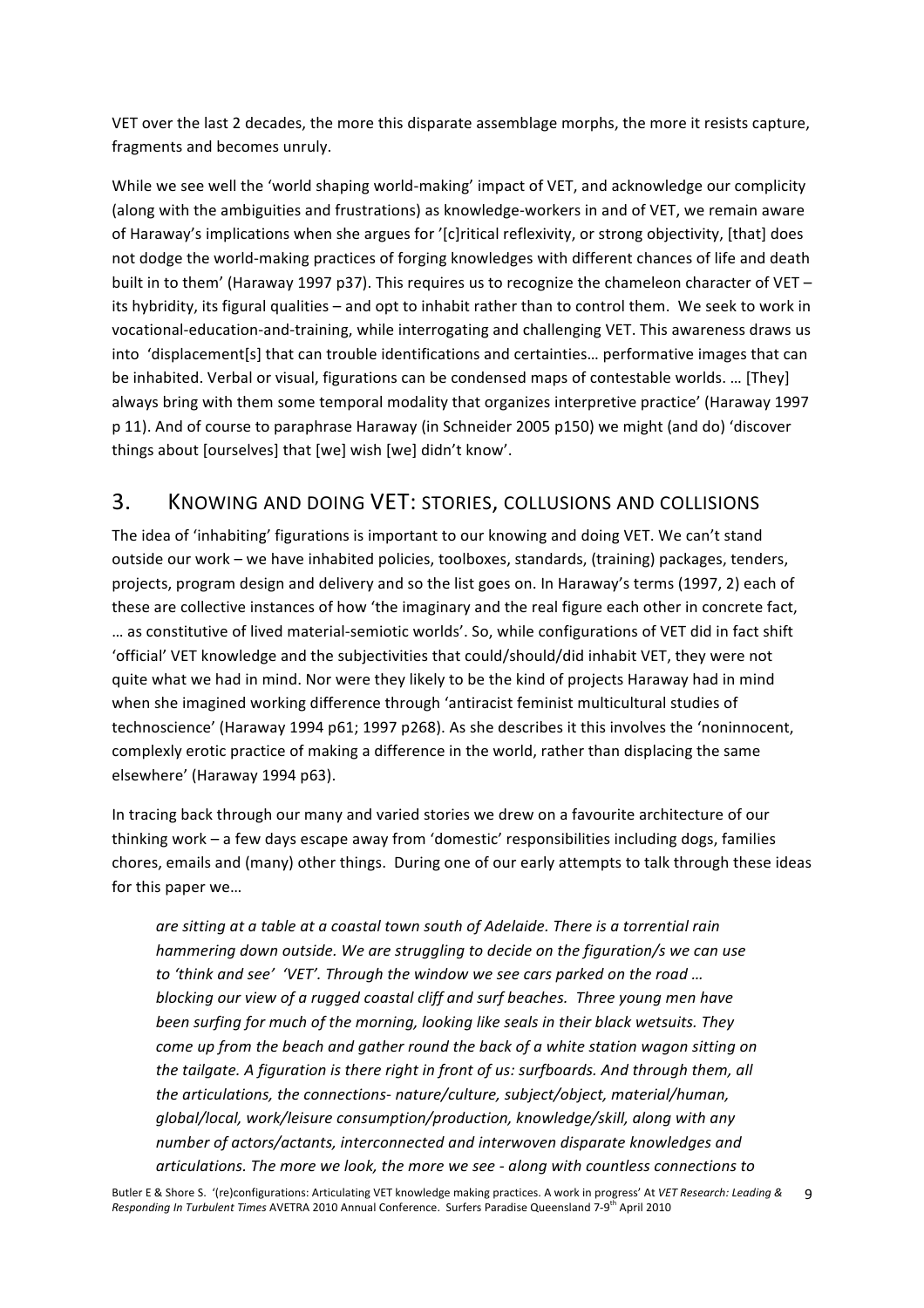VET over the last 2 decades, the more this disparate assemblage morphs, the more it resists capture, fragments and becomes unruly.

While we see well the 'world shaping world‐making' impact of VET, and acknowledge our complicity (along with the ambiguities and frustrations) as knowledge‐workers in and of VET, we remain aware of Haraway's implications when she argues for '[c]ritical reflexivity, or strong objectivity, [that] does not dodge the world-making practices of forging knowledges with different chances of life and death built in to them' (Haraway 1997 p37). This requires us to recognize the chameleon character of VET – its hybridity, its figural qualities – and opt to inhabit rather than to control them. We seek to work in vocational‐education‐and‐training, while interrogating and challenging VET. This awareness draws us into 'displacement[s] that can trouble identifications and certainties… performative images that can be inhabited. Verbal or visual, figurations can be condensed maps of contestable worlds. … [They] always bring with them some temporal modality that organizes interpretive practice' (Haraway 1997 p 11). And of course to paraphrase Haraway (in Schneider 2005 p150) we might (and do) 'discover things about [ourselves] that [we] wish [we] didn't know'.

## 3. KNOWING AND DOING VET: STORIES, COLLUSIONS AND COLLISIONS

The idea of 'inhabiting' figurations is important to our knowing and doing VET. We can't stand outside our work – we have inhabited policies, toolboxes, standards, (training) packages, tenders, projects, program design and delivery and so the list goes on. In Haraway's terms (1997, 2) each of these are collective instances of how 'the imaginary and the real figure each other in concrete fact, … as constitutive of lived material‐semiotic worlds'. So, while configurations of VET did in fact shift 'official' VET knowledge and the subjectivities that could/should/did inhabit VET, they were not quite what we had in mind. Nor were they likely to be the kind of projects Haraway had in mind when she imagined working difference through 'antiracist feminist multicultural studies of technoscience' (Haraway 1994 p61; 1997 p268). As she describes it this involves the 'noninnocent, complexly erotic practice of making a difference in the world, rather than displacing the same elsewhere' (Haraway 1994 p63).

In tracing back through our many and varied stories we drew on a favourite architecture of our thinking work – a few days escape away from 'domestic' responsibilities including dogs, families chores, emails and (many) other things. During one of our early attempts to talk through these ideas for this paper we…

*are sitting at a table at a coastal town south of Adelaide. There is a torrential rain hammering down outside. We are struggling to decide on the figuration/s we can use to 'think and see' 'VET'. Through the window we see cars parked on the road … blocking our view of a rugged coastal cliff and surf beaches. Three young men have been surfing for much of the morning, looking like seals in their black wetsuits. They come up from the beach and gather round the back of a white station wagon sitting on the tailgate. A figuration is there right in front of us: surfboards. And through them, all the articulations, the connections‐ nature/culture, subject/object, material/human, global/local, work/leisure consumption/production, knowledge/skill, along with any number of actors/actants, interconnected and interwoven disparate knowledges and articulations. The more we look, the more we see ‐ along with countless connections to*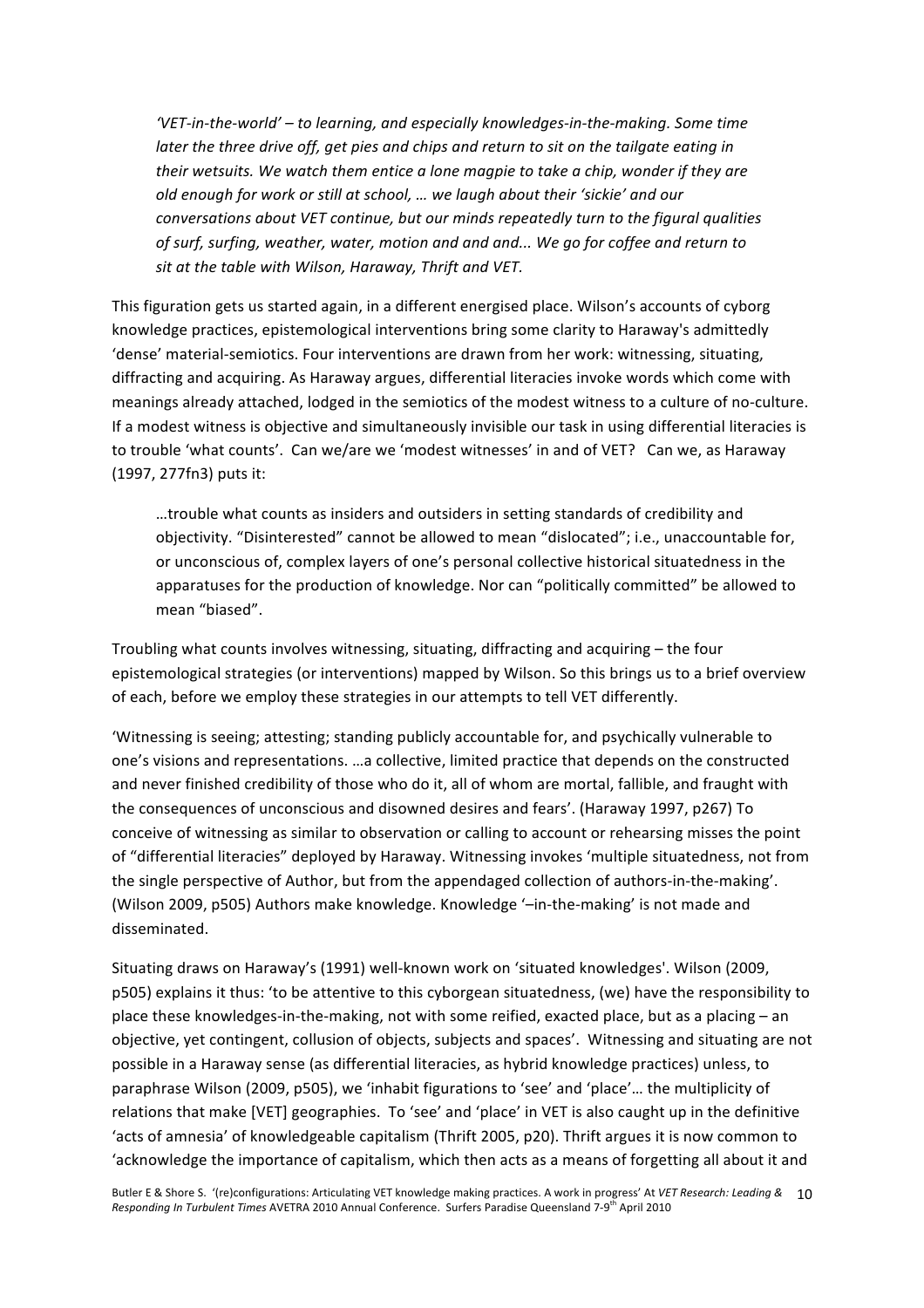*'VET‐in‐the‐world' – to learning, and especially knowledges‐in‐the‐making. Some time later the three drive off, get pies and chips and return to sit on the tailgate eating in their wetsuits. We watch them entice a lone magpie to take a chip, wonder if they are old enough for work or still at school, … we laugh about their 'sickie' and our conversations about VET continue, but our minds repeatedly turn to the figural qualities of surf, surfing, weather, water, motion and and and... We go for coffee and return to sit at the table with Wilson, Haraway, Thrift and VET.*

This figuration gets us started again, in a different energised place. Wilson's accounts of cyborg knowledge practices, epistemological interventions bring some clarity to Haraway's admittedly 'dense' material‐semiotics. Four interventions are drawn from her work: witnessing, situating, diffracting and acquiring. As Haraway argues, differential literacies invoke words which come with meanings already attached, lodged in the semiotics of the modest witness to a culture of no‐culture. If a modest witness is objective and simultaneously invisible our task in using differential literacies is to trouble 'what counts'. Can we/are we 'modest witnesses' in and of VET? Can we, as Haraway (1997, 277fn3) puts it:

…trouble what counts as insiders and outsiders in setting standards of credibility and objectivity. "Disinterested" cannot be allowed to mean "dislocated"; i.e., unaccountable for, or unconscious of, complex layers of one's personal collective historical situatedness in the apparatuses for the production of knowledge. Nor can "politically committed" be allowed to mean "biased".

Troubling what counts involves witnessing, situating, diffracting and acquiring – the four epistemological strategies (or interventions) mapped by Wilson. So this brings us to a brief overview of each, before we employ these strategies in our attempts to tell VET differently.

'Witnessing is seeing; attesting; standing publicly accountable for, and psychically vulnerable to one's visions and representations. …a collective, limited practice that depends on the constructed and never finished credibility of those who do it, all of whom are mortal, fallible, and fraught with the consequences of unconscious and disowned desires and fears'. (Haraway 1997, p267) To conceive of witnessing as similar to observation or calling to account or rehearsing misses the point of "differential literacies" deployed by Haraway. Witnessing invokes 'multiple situatedness, not from the single perspective of Author, but from the appendaged collection of authors‐in‐the‐making'. (Wilson 2009, p505) Authors make knowledge. Knowledge '–in‐the‐making' is not made and disseminated.

Situating draws on Haraway's (1991) well‐known work on 'situated knowledges'. Wilson (2009, p505) explains it thus: 'to be attentive to this cyborgean situatedness, (we) have the responsibility to place these knowledges-in-the-making, not with some reified, exacted place, but as a placing – an objective, yet contingent, collusion of objects, subjects and spaces'. Witnessing and situating are not possible in a Haraway sense (as differential literacies, as hybrid knowledge practices) unless, to paraphrase Wilson (2009, p505), we 'inhabit figurations to 'see' and 'place'… the multiplicity of relations that make [VET] geographies. To 'see' and 'place' in VET is also caught up in the definitive 'acts of amnesia' of knowledgeable capitalism (Thrift 2005, p20). Thrift argues it is now common to 'acknowledge the importance of capitalism, which then acts as a means of forgetting all about it and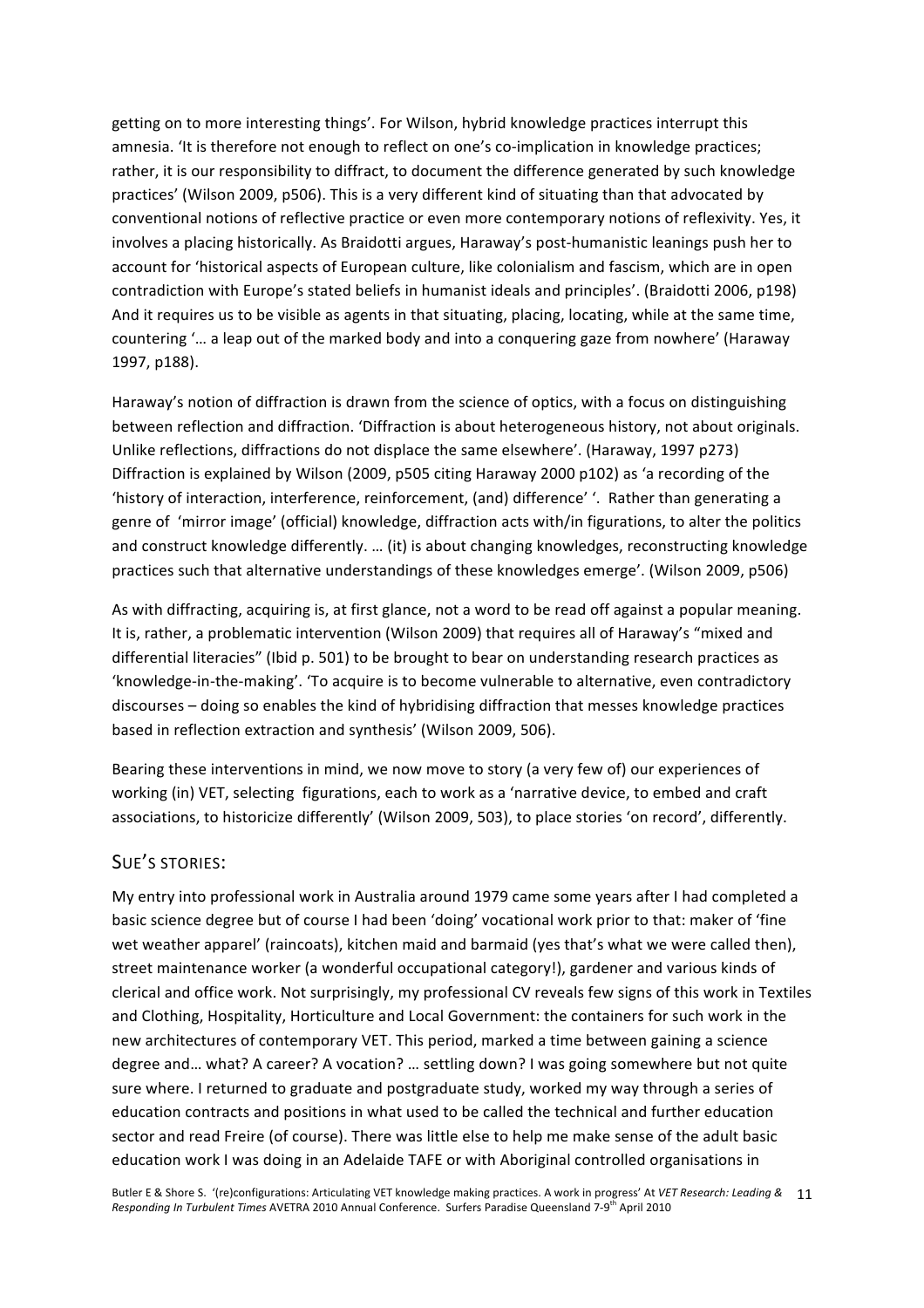getting on to more interesting things'. For Wilson, hybrid knowledge practices interrupt this amnesia. 'It is therefore not enough to reflect on one's co-implication in knowledge practices; rather, it is our responsibility to diffract, to document the difference generated by such knowledge practices' (Wilson 2009, p506). This is a very different kind of situating than that advocated by conventional notions of reflective practice or even more contemporary notions of reflexivity. Yes, it involves a placing historically. As Braidotti argues, Haraway's post-humanistic leanings push her to account for 'historical aspects of European culture, like colonialism and fascism, which are in open contradiction with Europe's stated beliefs in humanist ideals and principles'. (Braidotti 2006, p198) And it requires us to be visible as agents in that situating, placing, locating, while at the same time, countering '… a leap out of the marked body and into a conquering gaze from nowhere' (Haraway 1997, p188).

Haraway's notion of diffraction is drawn from the science of optics, with a focus on distinguishing between reflection and diffraction. 'Diffraction is about heterogeneous history, not about originals. Unlike reflections, diffractions do not displace the same elsewhere'. (Haraway, 1997 p273) Diffraction is explained by Wilson (2009, p505 citing Haraway 2000 p102) as 'a recording of the 'history of interaction, interference, reinforcement, (and) difference' '. Rather than generating a genre of 'mirror image' (official) knowledge, diffraction acts with/in figurations, to alter the politics and construct knowledge differently. … (it) is about changing knowledges, reconstructing knowledge practices such that alternative understandings of these knowledges emerge'. (Wilson 2009, p506)

As with diffracting, acquiring is, at first glance, not a word to be read off against a popular meaning. It is, rather, a problematic intervention (Wilson 2009) that requires all of Haraway's "mixed and differential literacies" (Ibid p. 501) to be brought to bear on understanding research practices as 'knowledge‐in‐the‐making'. 'To acquire is to become vulnerable to alternative, even contradictory discourses – doing so enables the kind of hybridising diffraction that messes knowledge practices based in reflection extraction and synthesis' (Wilson 2009, 506).

Bearing these interventions in mind, we now move to story (a very few of) our experiences of working (in) VET, selecting figurations, each to work as a 'narrative device, to embed and craft associations, to historicize differently' (Wilson 2009, 503), to place stories 'on record', differently.

#### SUE'S STORIES:

My entry into professional work in Australia around 1979 came some years after I had completed a basic science degree but of course I had been 'doing' vocational work prior to that: maker of 'fine wet weather apparel' (raincoats), kitchen maid and barmaid (yes that's what we were called then), street maintenance worker (a wonderful occupational category!), gardener and various kinds of clerical and office work. Not surprisingly, my professional CV reveals few signs of this work in Textiles and Clothing, Hospitality, Horticulture and Local Government: the containers for such work in the new architectures of contemporary VET. This period, marked a time between gaining a science degree and… what? A career? A vocation? … settling down? I was going somewhere but not quite sure where. I returned to graduate and postgraduate study, worked my way through a series of education contracts and positions in what used to be called the technical and further education sector and read Freire (of course). There was little else to help me make sense of the adult basic education work I was doing in an Adelaide TAFE or with Aboriginal controlled organisations in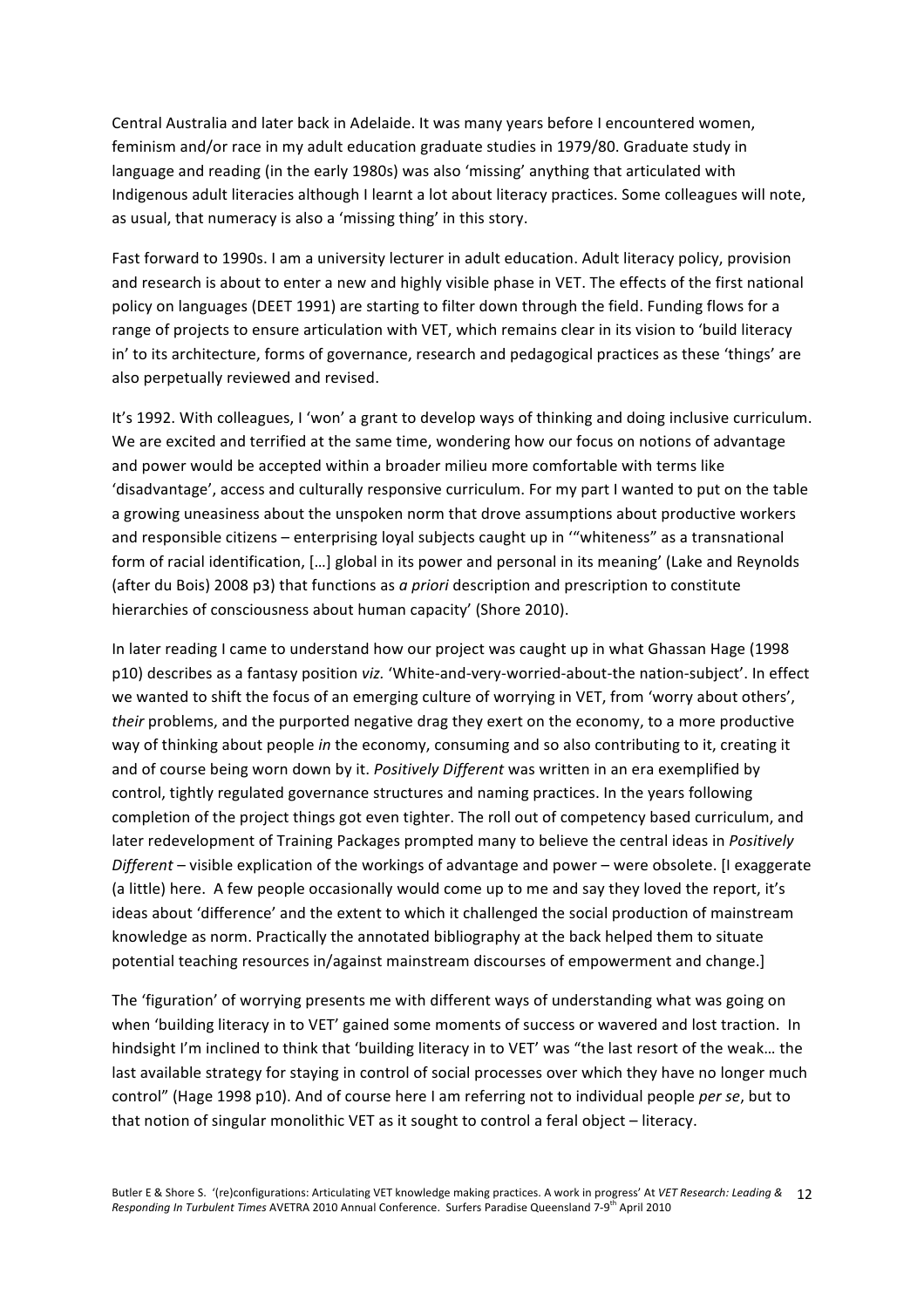Central Australia and later back in Adelaide. It was many years before I encountered women, feminism and/or race in my adult education graduate studies in 1979/80. Graduate study in language and reading (in the early 1980s) was also 'missing' anything that articulated with Indigenous adult literacies although I learnt a lot about literacy practices. Some colleagues will note, as usual, that numeracy is also a 'missing thing' in this story.

Fast forward to 1990s. I am a university lecturer in adult education. Adult literacy policy, provision and research is about to enter a new and highly visible phase in VET. The effects of the first national policy on languages (DEET 1991) are starting to filter down through the field. Funding flows for a range of projects to ensure articulation with VET, which remains clear in its vision to 'build literacy in' to its architecture, forms of governance, research and pedagogical practices as these 'things' are also perpetually reviewed and revised.

It's 1992. With colleagues, I 'won' a grant to develop ways of thinking and doing inclusive curriculum. We are excited and terrified at the same time, wondering how our focus on notions of advantage and power would be accepted within a broader milieu more comfortable with terms like 'disadvantage', access and culturally responsive curriculum. For my part I wanted to put on the table a growing uneasiness about the unspoken norm that drove assumptions about productive workers and responsible citizens – enterprising loyal subjects caught up in '"whiteness" as a transnational form of racial identification, […] global in its power and personal in its meaning' (Lake and Reynolds (after du Bois) 2008 p3) that functions as *a priori* description and prescription to constitute hierarchies of consciousness about human capacity' (Shore 2010).

In later reading I came to understand how our project was caught up in what Ghassan Hage (1998 p10) describes as a fantasy position *viz.* 'White‐and‐very‐worried‐about‐the nation‐subject'. In effect we wanted to shift the focus of an emerging culture of worrying in VET, from 'worry about others', *their* problems, and the purported negative drag they exert on the economy, to a more productive way of thinking about people *in* the economy, consuming and so also contributing to it, creating it and of course being worn down by it. *Positively Different* was written in an era exemplified by control, tightly regulated governance structures and naming practices. In the years following completion of the project things got even tighter. The roll out of competency based curriculum, and later redevelopment of Training Packages prompted many to believe the central ideas in *Positively Different* – visible explication of the workings of advantage and power – were obsolete. [I exaggerate (a little) here. A few people occasionally would come up to me and say they loved the report, it's ideas about 'difference' and the extent to which it challenged the social production of mainstream knowledge as norm. Practically the annotated bibliography at the back helped them to situate potential teaching resources in/against mainstream discourses of empowerment and change.]

The 'figuration' of worrying presents me with different ways of understanding what was going on when 'building literacy in to VET' gained some moments of success or wavered and lost traction. In hindsight I'm inclined to think that 'building literacy in to VET' was "the last resort of the weak… the last available strategy for staying in control of social processes over which they have no longer much control" (Hage 1998 p10). And of course here I am referring not to individual people *per se*, but to that notion of singular monolithic VET as it sought to control a feral object – literacy.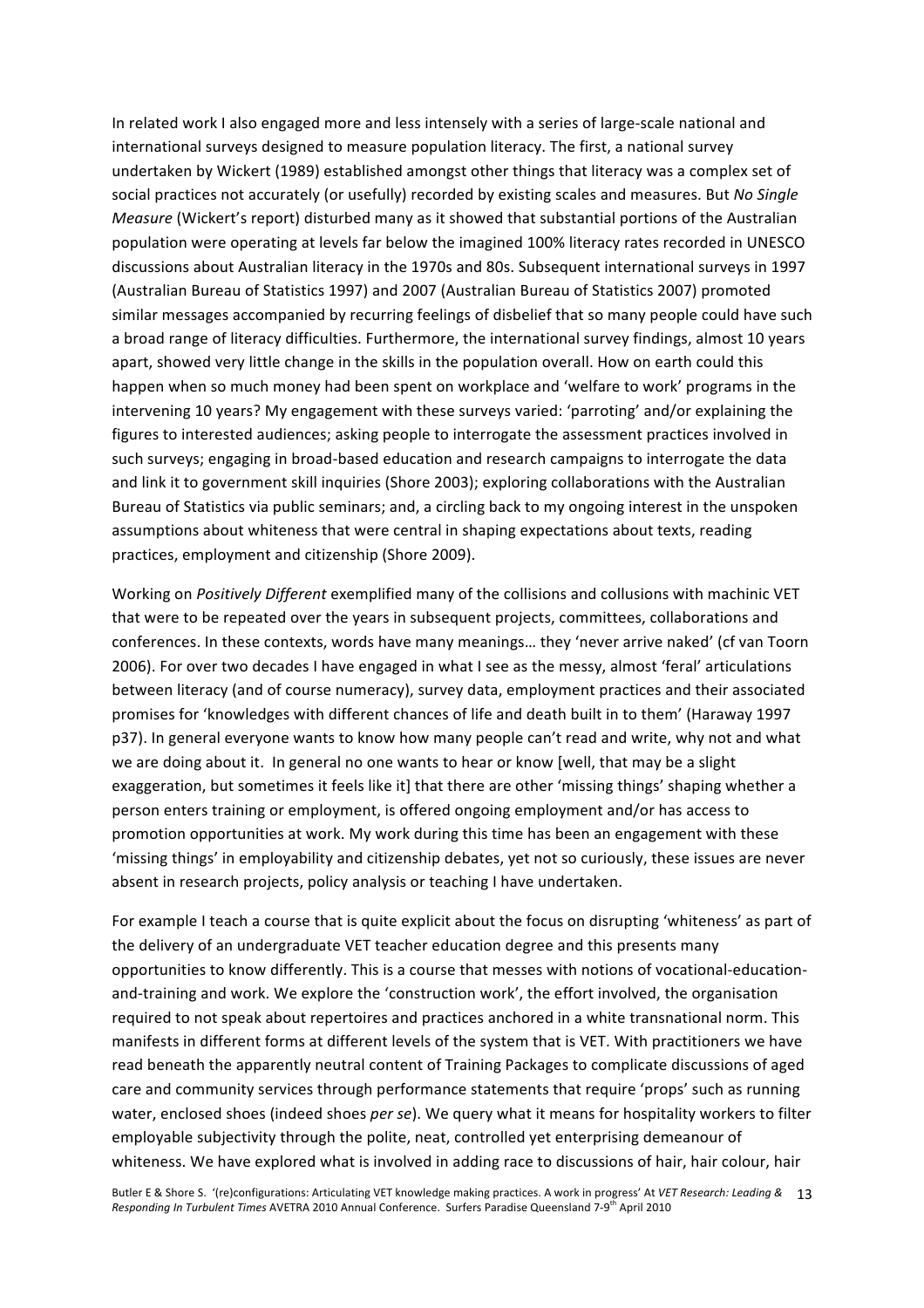In related work I also engaged more and less intensely with a series of large-scale national and international surveys designed to measure population literacy. The first, a national survey undertaken by Wickert (1989) established amongst other things that literacy was a complex set of social practices not accurately (or usefully) recorded by existing scales and measures. But *No Single Measure* (Wickert's report) disturbed many as it showed that substantial portions of the Australian population were operating at levels far below the imagined 100% literacy rates recorded in UNESCO discussions about Australian literacy in the 1970s and 80s. Subsequent international surveys in 1997 (Australian Bureau of Statistics 1997) and 2007 (Australian Bureau of Statistics 2007) promoted similar messages accompanied by recurring feelings of disbelief that so many people could have such a broad range of literacy difficulties. Furthermore, the international survey findings, almost 10 years apart, showed very little change in the skills in the population overall. How on earth could this happen when so much money had been spent on workplace and 'welfare to work' programs in the intervening 10 years? My engagement with these surveys varied: 'parroting' and/or explaining the figures to interested audiences; asking people to interrogate the assessment practices involved in such surveys; engaging in broad‐based education and research campaigns to interrogate the data and link it to government skill inquiries (Shore 2003); exploring collaborations with the Australian Bureau of Statistics via public seminars; and, a circling back to my ongoing interest in the unspoken assumptions about whiteness that were central in shaping expectations about texts, reading practices, employment and citizenship (Shore 2009).

Working on *Positively Different* exemplified many of the collisions and collusions with machinic VET that were to be repeated over the years in subsequent projects, committees, collaborations and conferences. In these contexts, words have many meanings… they 'never arrive naked' (cf van Toorn 2006). For over two decades I have engaged in what I see as the messy, almost 'feral' articulations between literacy (and of course numeracy), survey data, employment practices and their associated promises for 'knowledges with different chances of life and death built in to them' (Haraway 1997 p37). In general everyone wants to know how many people can't read and write, why not and what we are doing about it. In general no one wants to hear or know [well, that may be a slight exaggeration, but sometimes it feels like it] that there are other 'missing things' shaping whether a person enters training or employment, is offered ongoing employment and/or has access to promotion opportunities at work. My work during this time has been an engagement with these 'missing things' in employability and citizenship debates, yet not so curiously, these issues are never absent in research projects, policy analysis or teaching I have undertaken.

For example I teach a course that is quite explicit about the focus on disrupting 'whiteness' as part of the delivery of an undergraduate VET teacher education degree and this presents many opportunities to know differently. This is a course that messes with notions of vocational‐education‐ and-training and work. We explore the 'construction work', the effort involved, the organisation required to not speak about repertoires and practices anchored in a white transnational norm. This manifests in different forms at different levels of the system that is VET. With practitioners we have read beneath the apparently neutral content of Training Packages to complicate discussions of aged care and community services through performance statements that require 'props' such as running water, enclosed shoes (indeed shoes *per se*). We query what it means for hospitality workers to filter employable subjectivity through the polite, neat, controlled yet enterprising demeanour of whiteness. We have explored what is involved in adding race to discussions of hair, hair colour, hair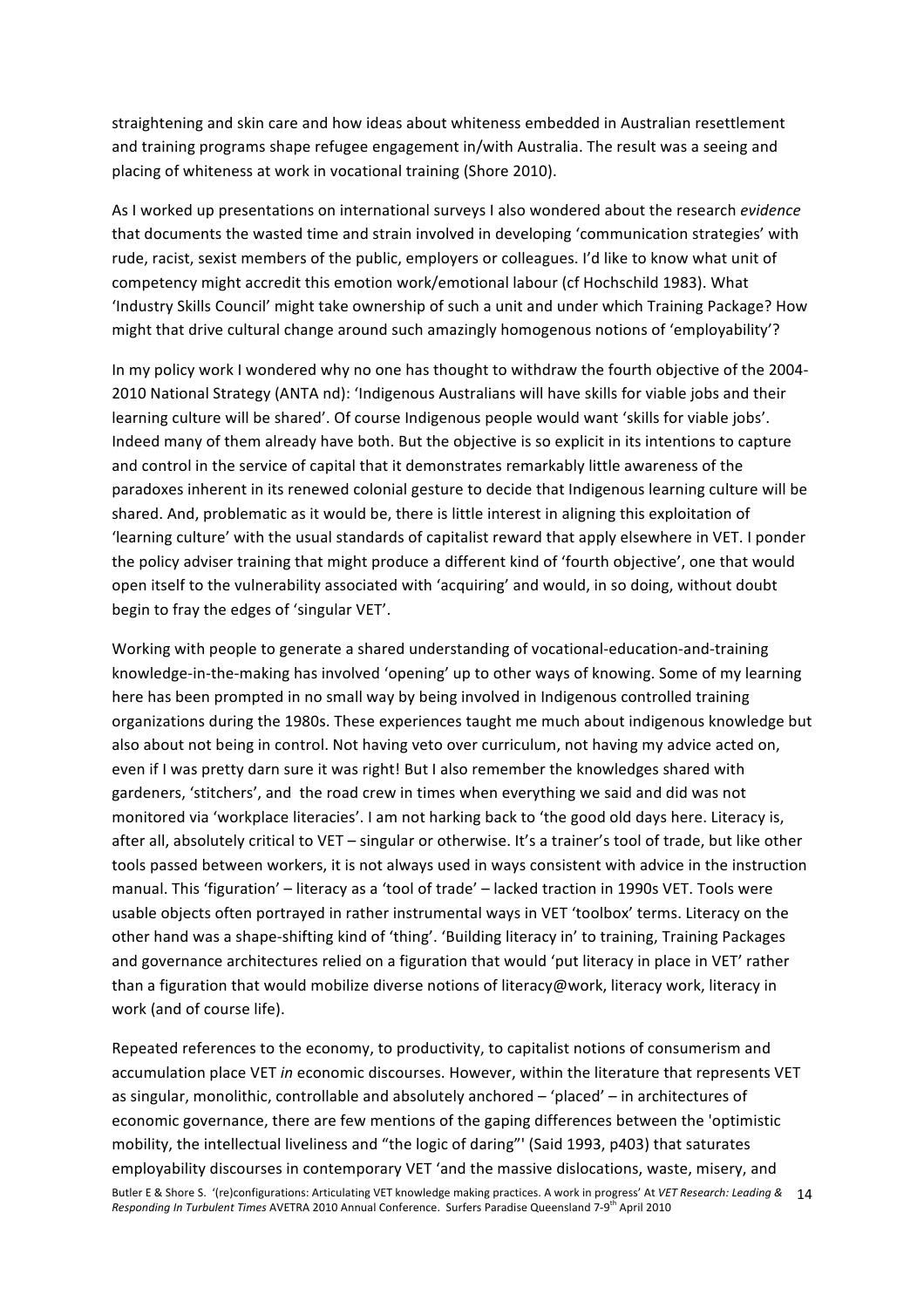straightening and skin care and how ideas about whiteness embedded in Australian resettlement and training programs shape refugee engagement in/with Australia. The result was a seeing and placing of whiteness at work in vocational training (Shore 2010).

As I worked up presentations on international surveys I also wondered about the research *evidence* that documents the wasted time and strain involved in developing 'communication strategies' with rude, racist, sexist members of the public, employers or colleagues. I'd like to know what unit of competency might accredit this emotion work/emotional labour (cf Hochschild 1983). What 'Industry Skills Council' might take ownership of such a unit and under which Training Package? How might that drive cultural change around such amazingly homogenous notions of 'employability'?

In my policy work I wondered why no one has thought to withdraw the fourth objective of the 2004‐ 2010 National Strategy (ANTA nd): 'Indigenous Australians will have skills for viable jobs and their learning culture will be shared'. Of course Indigenous people would want 'skills for viable jobs'. Indeed many of them already have both. But the objective is so explicit in its intentions to capture and control in the service of capital that it demonstrates remarkably little awareness of the paradoxes inherent in its renewed colonial gesture to decide that Indigenous learning culture will be shared. And, problematic as it would be, there is little interest in aligning this exploitation of 'learning culture' with the usual standards of capitalist reward that apply elsewhere in VET. I ponder the policy adviser training that might produce a different kind of 'fourth objective', one that would open itself to the vulnerability associated with 'acquiring' and would, in so doing, without doubt begin to fray the edges of 'singular VET'.

Working with people to generate a shared understanding of vocational‐education‐and‐training knowledge-in-the-making has involved 'opening' up to other ways of knowing. Some of my learning here has been prompted in no small way by being involved in Indigenous controlled training organizations during the 1980s. These experiences taught me much about indigenous knowledge but also about not being in control. Not having veto over curriculum, not having my advice acted on, even if I was pretty darn sure it was right! But I also remember the knowledges shared with gardeners, 'stitchers', and the road crew in times when everything we said and did was not monitored via 'workplace literacies'. I am not harking back to 'the good old days here. Literacy is, after all, absolutely critical to VET – singular or otherwise. It's a trainer's tool of trade, but like other tools passed between workers, it is not always used in ways consistent with advice in the instruction manual. This 'figuration' – literacy as a 'tool of trade' – lacked traction in 1990s VET. Tools were usable objects often portrayed in rather instrumental ways in VET 'toolbox' terms. Literacy on the other hand was a shape‐shifting kind of 'thing'. 'Building literacy in' to training, Training Packages and governance architectures relied on a figuration that would 'put literacy in place in VET' rather than a figuration that would mobilize diverse notions of literacy@work, literacy work, literacy in work (and of course life).

Butler E & Shore S. '(re)configurations: Articulating VET knowledge making practices. A work in progress' At *VET Research: Leading &*  14 Responding In Turbulent Times AVETRA 2010 Annual Conference. Surfers Paradise Queensland 7-9<sup>th</sup> April 2010 Repeated references to the economy, to productivity, to capitalist notions of consumerism and accumulation place VET *in* economic discourses. However, within the literature that represents VET as singular, monolithic, controllable and absolutely anchored – 'placed' – in architectures of economic governance, there are few mentions of the gaping differences between the 'optimistic mobility, the intellectual liveliness and "the logic of daring"' (Said 1993, p403) that saturates employability discourses in contemporary VET 'and the massive dislocations, waste, misery, and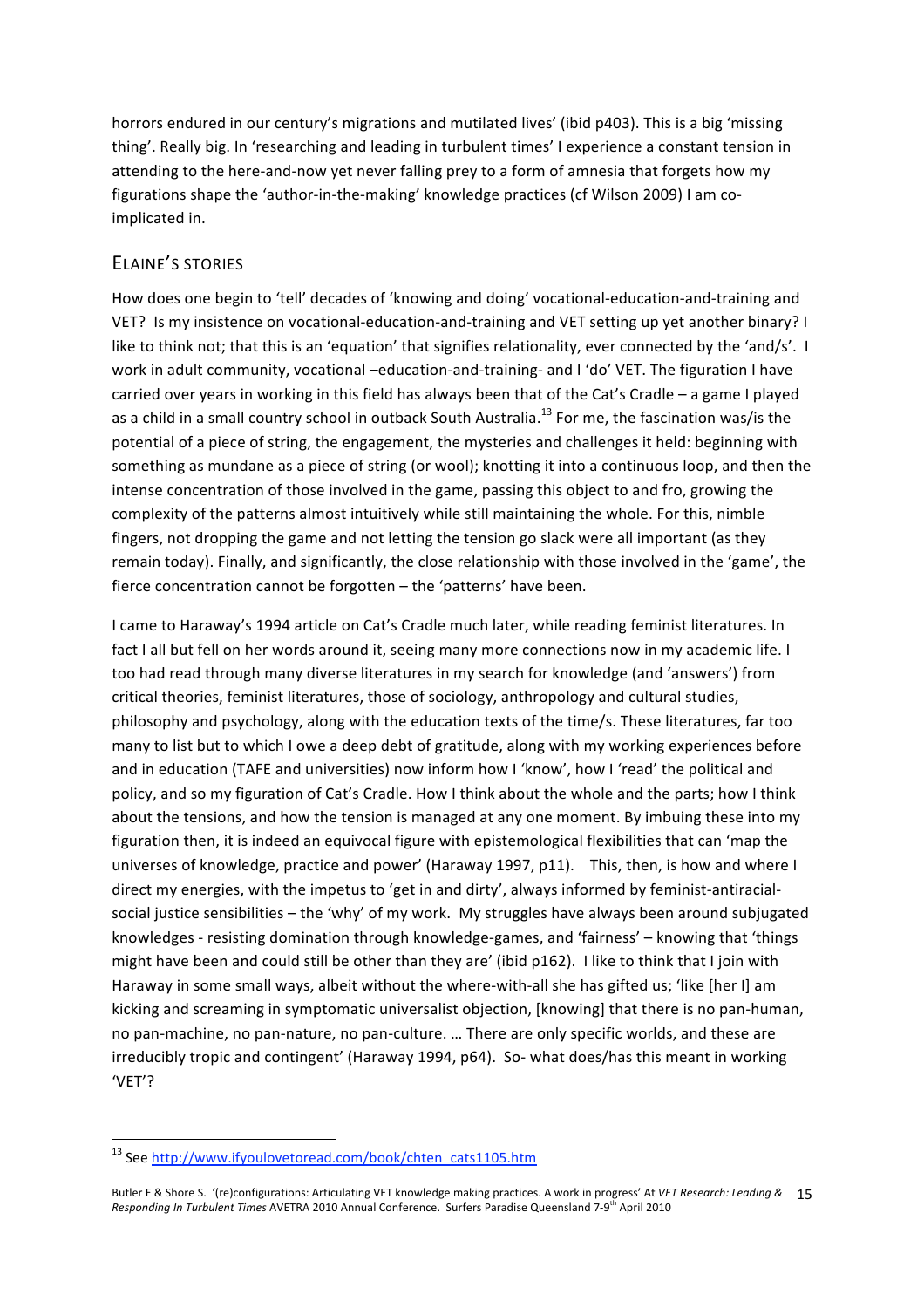horrors endured in our century's migrations and mutilated lives' (ibid p403). This is a big 'missing thing'. Really big. In 'researching and leading in turbulent times' I experience a constant tension in attending to the here-and-now yet never falling prey to a form of amnesia that forgets how my figurations shape the 'author-in-the-making' knowledge practices (cf Wilson 2009) I am coimplicated in.

### ELAINE'S STORIES

How does one begin to 'tell' decades of 'knowing and doing' vocational‐education‐and‐training and VET? Is my insistence on vocational‐education‐and‐training and VET setting up yet another binary? I like to think not; that this is an 'equation' that signifies relationality, ever connected by the 'and/s'. I work in adult community, vocational –education-and-training- and I 'do' VET. The figuration I have carried over years in working in this field has always been that of the Cat's Cradle – a game I played as a child in a small country school in outback South Australia.<sup>13</sup> For me, the fascination was/is the potential of a piece of string, the engagement, the mysteries and challenges it held: beginning with something as mundane as a piece of string (or wool); knotting it into a continuous loop, and then the intense concentration of those involved in the game, passing this object to and fro, growing the complexity of the patterns almost intuitively while still maintaining the whole. For this, nimble fingers, not dropping the game and not letting the tension go slack were all important (as they remain today). Finally, and significantly, the close relationship with those involved in the 'game', the fierce concentration cannot be forgotten – the 'patterns' have been.

I came to Haraway's 1994 article on Cat's Cradle much later, while reading feminist literatures. In fact I all but fell on her words around it, seeing many more connections now in my academic life. I too had read through many diverse literatures in my search for knowledge (and 'answers') from critical theories, feminist literatures, those of sociology, anthropology and cultural studies, philosophy and psychology, along with the education texts of the time/s. These literatures, far too many to list but to which I owe a deep debt of gratitude, along with my working experiences before and in education (TAFE and universities) now inform how I 'know', how I 'read' the political and policy, and so my figuration of Cat's Cradle. How I think about the whole and the parts; how I think about the tensions, and how the tension is managed at any one moment. By imbuing these into my figuration then, it is indeed an equivocal figure with epistemological flexibilities that can 'map the universes of knowledge, practice and power' (Haraway 1997, p11). This, then, is how and where I direct my energies, with the impetus to 'get in and dirty', always informed by feminist-antiracialsocial justice sensibilities – the 'why' of my work. My struggles have always been around subjugated knowledges - resisting domination through knowledge-games, and 'fairness' – knowing that 'things might have been and could still be other than they are' (ibid p162). I like to think that I join with Haraway in some small ways, albeit without the where-with-all she has gifted us; 'like [her I] am kicking and screaming in symptomatic universalist objection, [knowing] that there is no pan‐human, no pan‐machine, no pan‐nature, no pan‐culture. … There are only specific worlds, and these are irreducibly tropic and contingent' (Haraway 1994, p64). So‐ what does/has this meant in working 'VET'?

<u> 1989 - Johann Stein, fransk politik (d. 1989)</u>

<sup>&</sup>lt;sup>13</sup> See http://www.ifyoulovetoread.com/book/chten\_cats1105.htm

Butler E & Shore S. '(re)configurations: Articulating VET knowledge making practices. A work in progress' At *VET Research: Leading &*  15 Responding In Turbulent Times AVETRA 2010 Annual Conference. Surfers Paradise Queensland 7-9<sup>th</sup> April 2010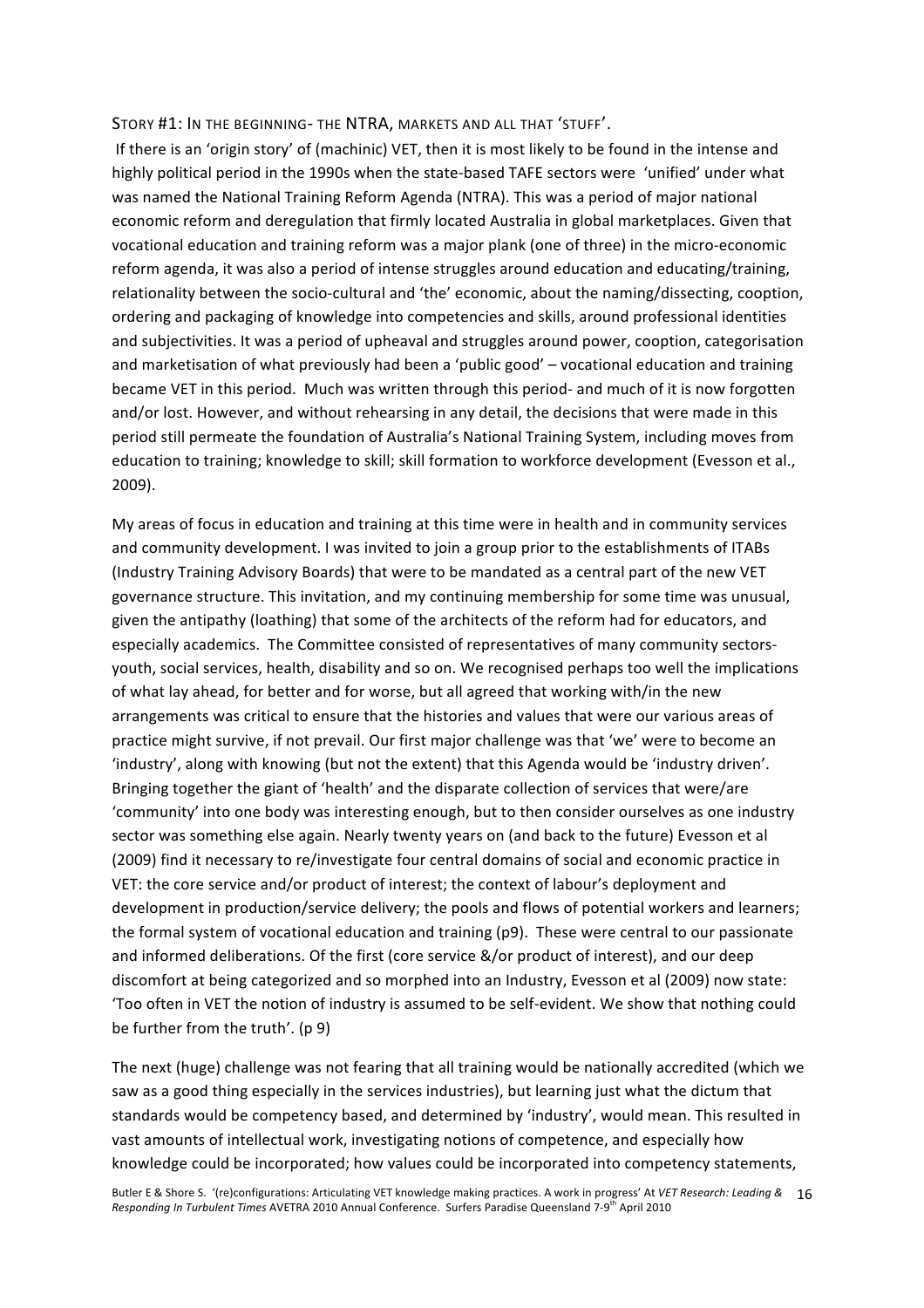STORY #1: IN THE BEGINNING‐ THE NTRA, MARKETS AND ALL THAT 'STUFF'.

 If there is an 'origin story' of (machinic) VET, then it is most likely to be found in the intense and highly political period in the 1990s when the state‐based TAFE sectors were 'unified' under what was named the National Training Reform Agenda (NTRA). This was a period of major national economic reform and deregulation that firmly located Australia in global marketplaces. Given that vocational education and training reform was a major plank (one of three) in the micro‐economic reform agenda, it was also a period of intense struggles around education and educating/training, relationality between the socio‐cultural and 'the' economic, about the naming/dissecting, cooption, ordering and packaging of knowledge into competencies and skills, around professional identities and subjectivities. It was a period of upheaval and struggles around power, cooption, categorisation and marketisation of what previously had been a 'public good' – vocational education and training became VET in this period. Much was written through this period- and much of it is now forgotten and/or lost. However, and without rehearsing in any detail, the decisions that were made in this period still permeate the foundation of Australia's National Training System, including moves from education to training; knowledge to skill; skill formation to workforce development (Evesson et al., 2009).

My areas of focus in education and training at this time were in health and in community services and community development. I was invited to join a group prior to the establishments of ITABs (Industry Training Advisory Boards) that were to be mandated as a central part of the new VET governance structure. This invitation, and my continuing membership for some time was unusual, given the antipathy (loathing) that some of the architects of the reform had for educators, and especially academics. The Committee consisted of representatives of many community sectors‐ youth, social services, health, disability and so on. We recognised perhaps too well the implications of what lay ahead, for better and for worse, but all agreed that working with/in the new arrangements was critical to ensure that the histories and values that were our various areas of practice might survive, if not prevail. Our first major challenge was that 'we' were to become an 'industry', along with knowing (but not the extent) that this Agenda would be 'industry driven'. Bringing together the giant of 'health' and the disparate collection of services that were/are 'community' into one body was interesting enough, but to then consider ourselves as one industry sector was something else again. Nearly twenty years on (and back to the future) Evesson et al (2009) find it necessary to re/investigate four central domains of social and economic practice in VET: the core service and/or product of interest; the context of labour's deployment and development in production/service delivery; the pools and flows of potential workers and learners; the formal system of vocational education and training (p9). These were central to our passionate and informed deliberations. Of the first (core service &/or product of interest), and our deep discomfort at being categorized and so morphed into an Industry, Evesson et al (2009) now state: 'Too often in VET the notion of industry is assumed to be self‐evident. We show that nothing could be further from the truth'. (p 9)

The next (huge) challenge was not fearing that all training would be nationally accredited (which we saw as a good thing especially in the services industries), but learning just what the dictum that standards would be competency based, and determined by 'industry', would mean. This resulted in vast amounts of intellectual work, investigating notions of competence, and especially how knowledge could be incorporated; how values could be incorporated into competency statements,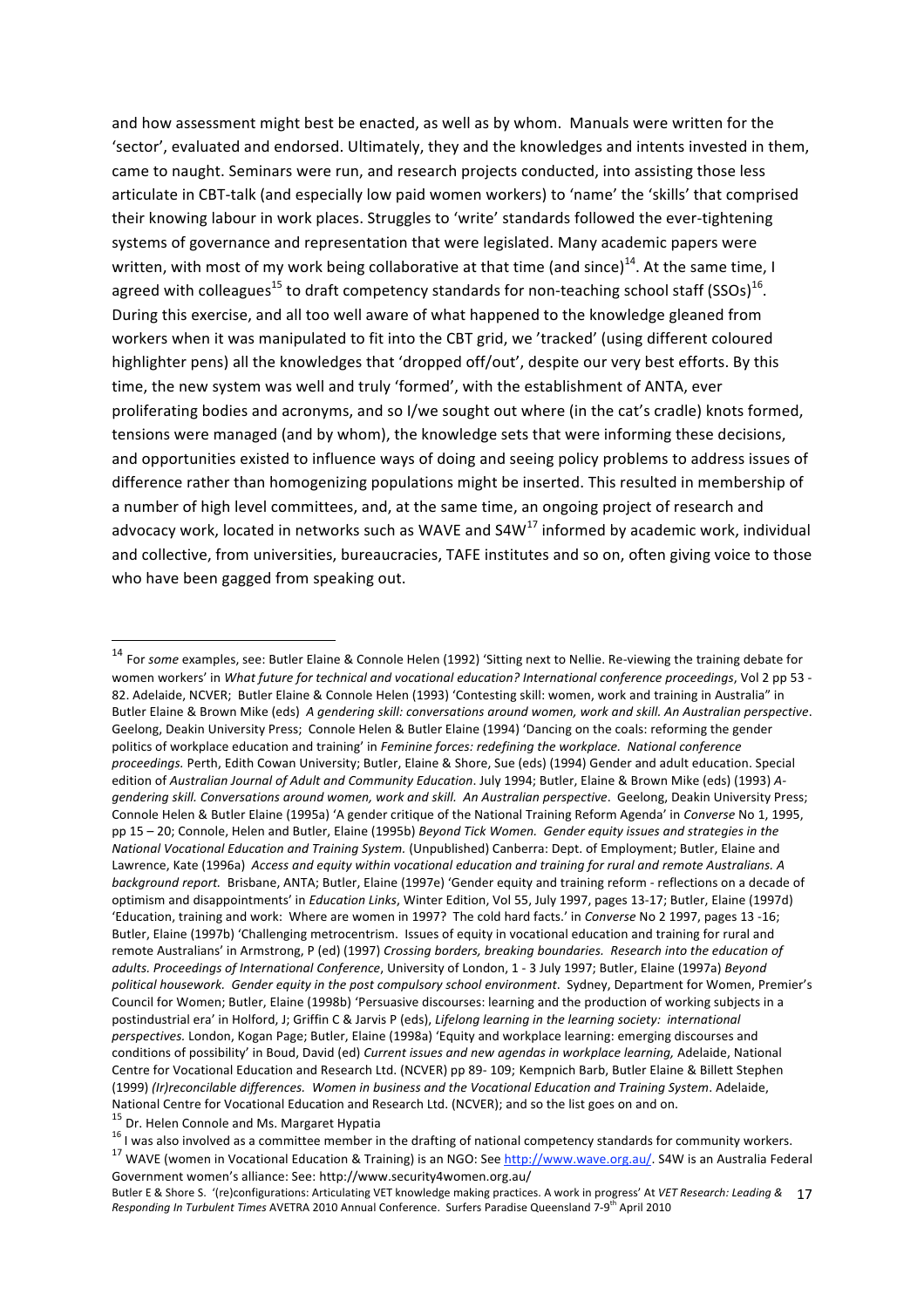and how assessment might best be enacted, as well as by whom. Manuals were written for the 'sector', evaluated and endorsed. Ultimately, they and the knowledges and intents invested in them, came to naught. Seminars were run, and research projects conducted, into assisting those less articulate in CBT-talk (and especially low paid women workers) to 'name' the 'skills' that comprised their knowing labour in work places. Struggles to 'write' standards followed the ever-tightening systems of governance and representation that were legislated. Many academic papers were written, with most of my work being collaborative at that time (and since)<sup>14</sup>. At the same time, I agreed with colleagues<sup>15</sup> to draft competency standards for non-teaching school staff (SSOs)<sup>16</sup>. During this exercise, and all too well aware of what happened to the knowledge gleaned from workers when it was manipulated to fit into the CBT grid, we 'tracked' (using different coloured highlighter pens) all the knowledges that 'dropped off/out', despite our very best efforts. By this time, the new system was well and truly 'formed', with the establishment of ANTA, ever proliferating bodies and acronyms, and so I/we sought out where (in the cat's cradle) knots formed, tensions were managed (and by whom), the knowledge sets that were informing these decisions, and opportunities existed to influence ways of doing and seeing policy problems to address issues of difference rather than homogenizing populations might be inserted. This resulted in membership of a number of high level committees, and, at the same time, an ongoing project of research and advocacy work, located in networks such as WAVE and  $S4W^{17}$  informed by academic work, individual and collective, from universities, bureaucracies, TAFE institutes and so on, often giving voice to those who have been gagged from speaking out.

<sup>14</sup> For *some* examples, see: Butler Elaine & Connole Helen (1992) 'Sitting next to Nellie. Re‐viewing the training debate for women workers' in *What future for technical and vocational education? International conference proceedings*, Vol 2 pp 53 ‐ 82. Adelaide, NCVER; Butler Elaine & Connole Helen (1993) 'Contesting skill: women, work and training in Australia" in Butler Elaine & Brown Mike (eds) *A gendering skill: conversations around women, work and skill. An Australian perspective*. Geelong, Deakin University Press; Connole Helen & Butler Elaine (1994) 'Dancing on the coals: reforming the gender politics of workplace education and training' in *Feminine forces: redefining the workplace. National conference proceedings.* Perth, Edith Cowan University; Butler, Elaine & Shore, Sue (eds) (1994) Gender and adult education. Special edition of *Australian Journal of Adult and Community Education*. July 1994; Butler, Elaine & Brown Mike (eds) (1993) *A‐ gendering skill. Conversations around women, work and skill. An Australian perspective*. Geelong, Deakin University Press; Connole Helen & Butler Elaine (1995a) 'A gender critique of the National Training Reform Agenda' in *Converse* No 1, 1995, pp 15 – 20; Connole, Helen and Butler, Elaine (1995b) *Beyond Tick Women. Gender equity issues and strategies in the National Vocational Education and Training System.* (Unpublished) Canberra: Dept. of Employment; Butler, Elaine and Lawrence, Kate (1996a) *Access and equity within vocational education and training for rural and remote Australians. A background report.* Brisbane, ANTA; Butler, Elaine (1997e) 'Gender equity and training reform ‐ reflections on a decade of optimism and disappointments' in *Education Links*, Winter Edition, Vol 55, July 1997, pages 13‐17; Butler, Elaine (1997d) 'Education, training and work: Where are women in 1997? The cold hard facts.' in *Converse* No 2 1997, pages 13 ‐16; Butler, Elaine (1997b) 'Challenging metrocentrism. Issues of equity in vocational education and training for rural and remote Australians' in Armstrong, P (ed) (1997) *Crossing borders, breaking boundaries. Research into the education of adults. Proceedings of International Conference*, University of London, 1 ‐ 3 July 1997; Butler, Elaine (1997a) *Beyond political housework. Gender equity in the post compulsory school environment*. Sydney, Department for Women, Premier's Council for Women; Butler, Elaine (1998b) 'Persuasive discourses: learning and the production of working subjects in a postindustrial era' in Holford, J; Griffin C & Jarvis P (eds), *Lifelong learning in the learning society: international perspectives.* London, Kogan Page; Butler, Elaine (1998a) 'Equity and workplace learning: emerging discourses and conditions of possibility' in Boud, David (ed) *Current issues and new agendas in workplace learning,* Adelaide, National Centre for Vocational Education and Research Ltd. (NCVER) pp 89‐ 109; Kempnich Barb, Butler Elaine & Billett Stephen (1999) *(Ir)reconcilable differences. Women in business and the Vocational Education and Training System*. Adelaide, National Centre for Vocational Education and Research Ltd. (NCVER); and so the list goes on and on.<br><sup>15</sup> Dr. Helen Connole and Ms. Margaret Hypatia<br><sup>16</sup> I was also involved as a committee member in the drafting of national

Government women's alliance: See: http://www.security4women.org.au/

Butler E & Shore S. '(re)configurations: Articulating VET knowledge making practices. A work in progress' At *VET Research: Leading &*  17 Responding In Turbulent Times AVETRA 2010 Annual Conference. Surfers Paradise Queensland 7-9<sup>th</sup> April 2010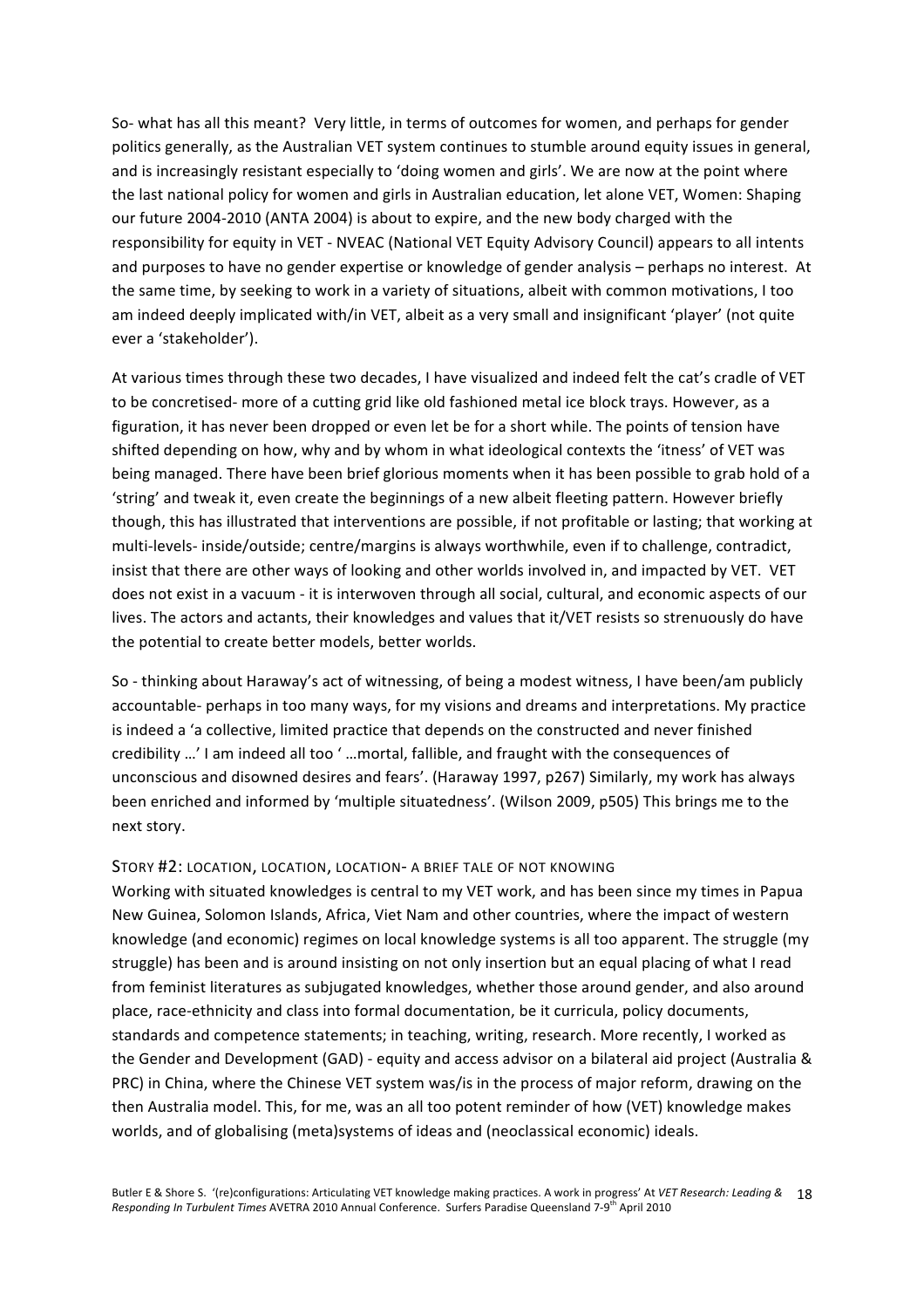So- what has all this meant? Very little, in terms of outcomes for women, and perhaps for gender politics generally, as the Australian VET system continues to stumble around equity issues in general, and is increasingly resistant especially to 'doing women and girls'. We are now at the point where the last national policy for women and girls in Australian education, let alone VET, Women: Shaping our future 2004‐2010 (ANTA 2004) is about to expire, and the new body charged with the responsibility for equity in VET ‐ NVEAC (National VET Equity Advisory Council) appears to all intents and purposes to have no gender expertise or knowledge of gender analysis – perhaps no interest. At the same time, by seeking to work in a variety of situations, albeit with common motivations, I too am indeed deeply implicated with/in VET, albeit as a very small and insignificant 'player' (not quite ever a 'stakeholder').

At various times through these two decades, I have visualized and indeed felt the cat's cradle of VET to be concretised‐ more of a cutting grid like old fashioned metal ice block trays. However, as a figuration, it has never been dropped or even let be for a short while. The points of tension have shifted depending on how, why and by whom in what ideological contexts the 'itness' of VET was being managed. There have been brief glorious moments when it has been possible to grab hold of a 'string' and tweak it, even create the beginnings of a new albeit fleeting pattern. However briefly though, this has illustrated that interventions are possible, if not profitable or lasting; that working at multi-levels- inside/outside; centre/margins is always worthwhile, even if to challenge, contradict, insist that there are other ways of looking and other worlds involved in, and impacted by VET. VET does not exist in a vacuum ‐ it is interwoven through all social, cultural, and economic aspects of our lives. The actors and actants, their knowledges and values that it/VET resists so strenuously do have the potential to create better models, better worlds.

So - thinking about Haraway's act of witnessing, of being a modest witness, I have been/am publicly accountable‐ perhaps in too many ways, for my visions and dreams and interpretations. My practice is indeed a 'a collective, limited practice that depends on the constructed and never finished credibility …' I am indeed all too ' …mortal, fallible, and fraught with the consequences of unconscious and disowned desires and fears'. (Haraway 1997, p267) Similarly, my work has always been enriched and informed by 'multiple situatedness'. (Wilson 2009, p505) This brings me to the next story.

#### STORY #2: LOCATION, LOCATION, LOCATION‐ A BRIEF TALE OF NOT KNOWING

Working with situated knowledges is central to my VET work, and has been since my times in Papua New Guinea, Solomon Islands, Africa, Viet Nam and other countries, where the impact of western knowledge (and economic) regimes on local knowledge systems is all too apparent. The struggle (my struggle) has been and is around insisting on not only insertion but an equal placing of what I read from feminist literatures as subjugated knowledges, whether those around gender, and also around place, race‐ethnicity and class into formal documentation, be it curricula, policy documents, standards and competence statements; in teaching, writing, research. More recently, I worked as the Gender and Development (GAD) ‐ equity and access advisor on a bilateral aid project (Australia & PRC) in China, where the Chinese VET system was/is in the process of major reform, drawing on the then Australia model. This, for me, was an all too potent reminder of how (VET) knowledge makes worlds, and of globalising (meta)systems of ideas and (neoclassical economic) ideals.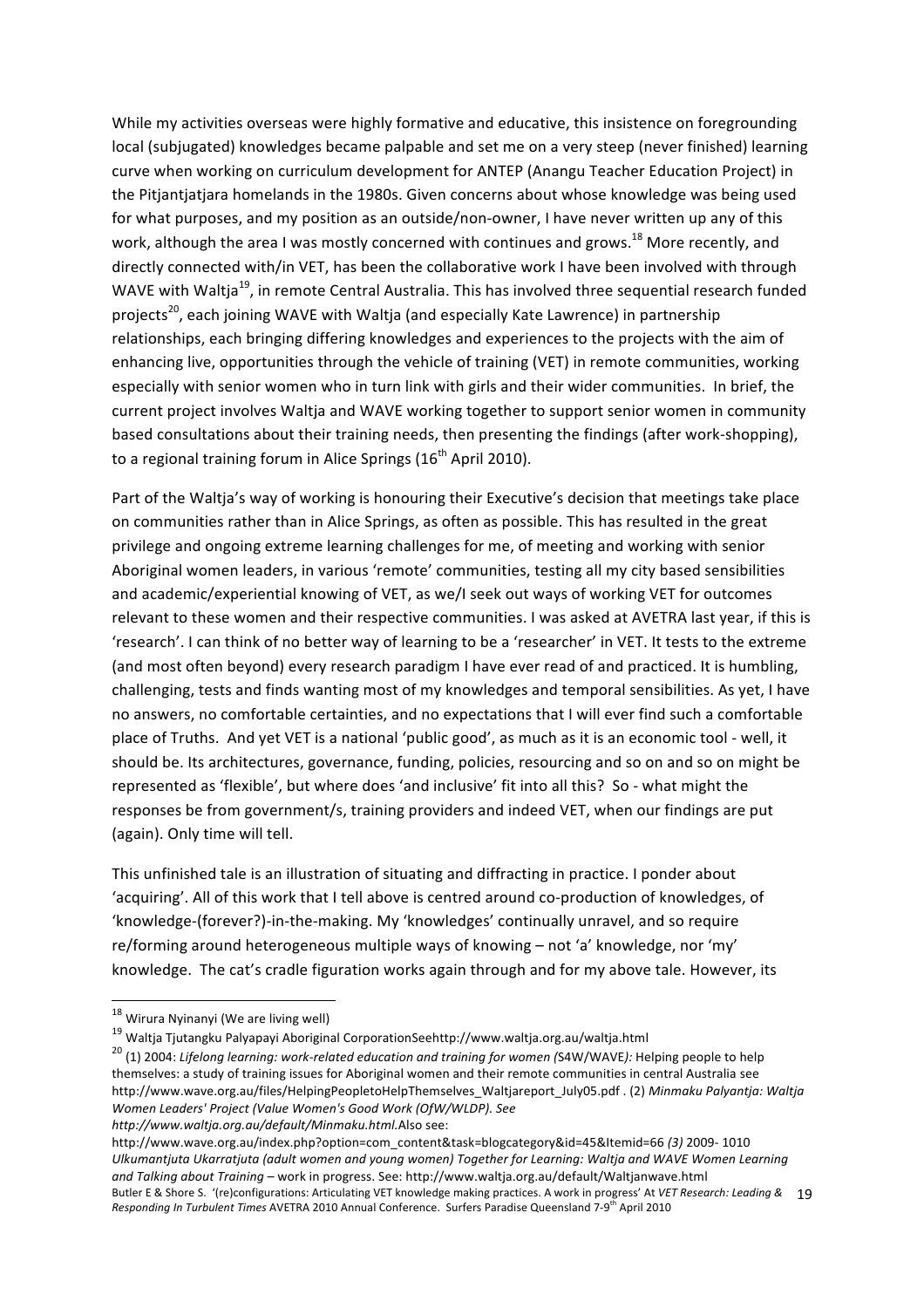While my activities overseas were highly formative and educative, this insistence on foregrounding local (subjugated) knowledges became palpable and set me on a very steep (never finished) learning curve when working on curriculum development for ANTEP (Anangu Teacher Education Project) in the Pitjantjatjara homelands in the 1980s. Given concerns about whose knowledge was being used for what purposes, and my position as an outside/non‐owner, I have never written up any of this work, although the area I was mostly concerned with continues and grows.<sup>18</sup> More recently, and directly connected with/in VET, has been the collaborative work I have been involved with through WAVE with Waltja<sup>19</sup>, in remote Central Australia. This has involved three sequential research funded projects<sup>20</sup>, each joining WAVE with Waltia (and especially Kate Lawrence) in partnership relationships, each bringing differing knowledges and experiences to the projects with the aim of enhancing live, opportunities through the vehicle of training (VET) in remote communities, working especially with senior women who in turn link with girls and their wider communities. In brief, the current project involves Waltja and WAVE working together to support senior women in community based consultations about their training needs, then presenting the findings (after work‐shopping), to a regional training forum in Alice Springs  $(16<sup>th</sup>$  April 2010).

Part of the Waltja's way of working is honouring their Executive's decision that meetings take place on communities rather than in Alice Springs, as often as possible. This has resulted in the great privilege and ongoing extreme learning challenges for me, of meeting and working with senior Aboriginal women leaders, in various 'remote' communities, testing all my city based sensibilities and academic/experiential knowing of VET, as we/I seek out ways of working VET for outcomes relevant to these women and their respective communities. I was asked at AVETRA last year, if this is 'research'. I can think of no better way of learning to be a 'researcher' in VET. It tests to the extreme (and most often beyond) every research paradigm I have ever read of and practiced. It is humbling, challenging, tests and finds wanting most of my knowledges and temporal sensibilities. As yet, I have no answers, no comfortable certainties, and no expectations that I will ever find such a comfortable place of Truths. And yet VET is a national 'public good', as much as it is an economic tool ‐ well, it should be. Its architectures, governance, funding, policies, resourcing and so on and so on might be represented as 'flexible', but where does 'and inclusive' fit into all this? So ‐ what might the responses be from government/s, training providers and indeed VET, when our findings are put (again). Only time will tell.

This unfinished tale is an illustration of situating and diffracting in practice. I ponder about 'acquiring'. All of this work that I tell above is centred around co‐production of knowledges, of 'knowledge‐(forever?)‐in‐the‐making. My 'knowledges' continually unravel, and so require re/forming around heterogeneous multiple ways of knowing – not 'a' knowledge, nor 'my' knowledge. The cat's cradle figuration works again through and for my above tale. However, its

*http://www.waltja.org.au/default/Minmaku.html.*Also see:

Butler E & Shore S. '(re)configurations: Articulating VET knowledge making practices. A work in progress' At *VET Research: Leading &*  19 Responding In Turbulent Times AVETRA 2010 Annual Conference. Surfers Paradise Queensland 7-9<sup>th</sup> April 2010 http://www.wave.org.au/index.php?option=com\_content&task=blogcategory&id=45&Itemid=66 *(3)* 2009‐ 1010 *Ulkumantjuta Ukarratjuta (adult women and young women) Together for Learning: Waltja and WAVE Women Learning and Talking about Training –* work in progress. See: http://www.waltja.org.au/default/Waltjanwave.html

<sup>&</sup>lt;u> 1989 - Johann Stein, fransk politik (d. 1989)</u> <sup>18</sup> Wirura Nyinanyi (We are living well)

<sup>19</sup> Waltja Tjutangku Palyapayi Aboriginal CorporationSeehttp://www.waltja.org.au/waltja.html

<sup>20</sup> (1) 2004: *Lifelong learning: work‐related education and training for women (*S4W/WAVE*):* Helping people to help themselves: a study of training issues for Aboriginal women and their remote communities in central Australia see http://www.wave.org.au/files/HelpingPeopletoHelpThemselves\_Waltjareport\_July05.pdf . (2) *Minmaku Palyantja: Waltja Women Leaders' Project (Value Women's Good Work (OfW/WLDP). See*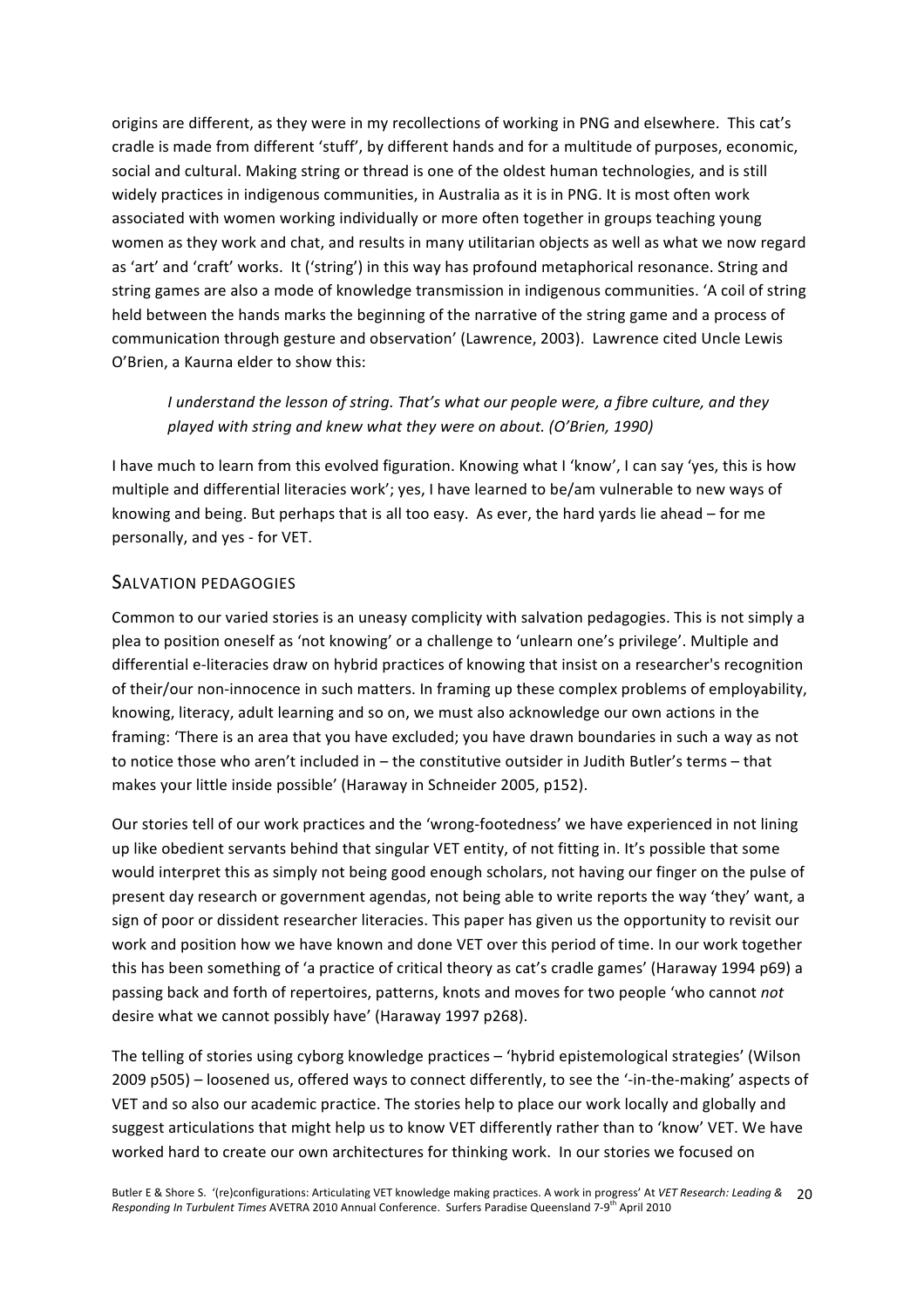origins are different, as they were in my recollections of working in PNG and elsewhere. This cat's cradle is made from different 'stuff', by different hands and for a multitude of purposes, economic, social and cultural. Making string or thread is one of the oldest human technologies, and is still widely practices in indigenous communities, in Australia as it is in PNG. It is most often work associated with women working individually or more often together in groups teaching young women as they work and chat, and results in many utilitarian objects as well as what we now regard as 'art' and 'craft' works. It ('string') in this way has profound metaphorical resonance. String and string games are also a mode of knowledge transmission in indigenous communities. 'A coil of string held between the hands marks the beginning of the narrative of the string game and a process of communication through gesture and observation' (Lawrence, 2003). Lawrence cited Uncle Lewis O'Brien, a Kaurna elder to show this:

### *I understand the lesson of string. That's what our people were, a fibre culture, and they played with string and knew what they were on about. (O'Brien, 1990)*

I have much to learn from this evolved figuration. Knowing what I 'know', I can say 'yes, this is how multiple and differential literacies work'; yes, I have learned to be/am vulnerable to new ways of knowing and being. But perhaps that is all too easy. As ever, the hard yards lie ahead – for me personally, and yes ‐ for VET.

### SALVATION PEDAGOGIES

Common to our varied stories is an uneasy complicity with salvation pedagogies. This is not simply a plea to position oneself as 'not knowing' or a challenge to 'unlearn one's privilege'. Multiple and differential e‐literacies draw on hybrid practices of knowing that insist on a researcher's recognition of their/our non‐innocence in such matters. In framing up these complex problems of employability, knowing, literacy, adult learning and so on, we must also acknowledge our own actions in the framing: 'There is an area that you have excluded; you have drawn boundaries in such a way as not to notice those who aren't included in – the constitutive outsider in Judith Butler's terms – that makes your little inside possible' (Haraway in Schneider 2005, p152).

Our stories tell of our work practices and the 'wrong‐footedness' we have experienced in not lining up like obedient servants behind that singular VET entity, of not fitting in. It's possible that some would interpret this as simply not being good enough scholars, not having our finger on the pulse of present day research or government agendas, not being able to write reports the way 'they' want, a sign of poor or dissident researcher literacies. This paper has given us the opportunity to revisit our work and position how we have known and done VET over this period of time. In our work together this has been something of 'a practice of critical theory as cat's cradle games' (Haraway 1994 p69) a passing back and forth of repertoires, patterns, knots and moves for two people 'who cannot *not* desire what we cannot possibly have' (Haraway 1997 p268).

The telling of stories using cyborg knowledge practices – 'hybrid epistemological strategies' (Wilson 2009 p505) – loosened us, offered ways to connect differently, to see the '‐in‐the‐making' aspects of VET and so also our academic practice. The stories help to place our work locally and globally and suggest articulations that might help us to know VET differently rather than to 'know' VET. We have worked hard to create our own architectures for thinking work. In our stories we focused on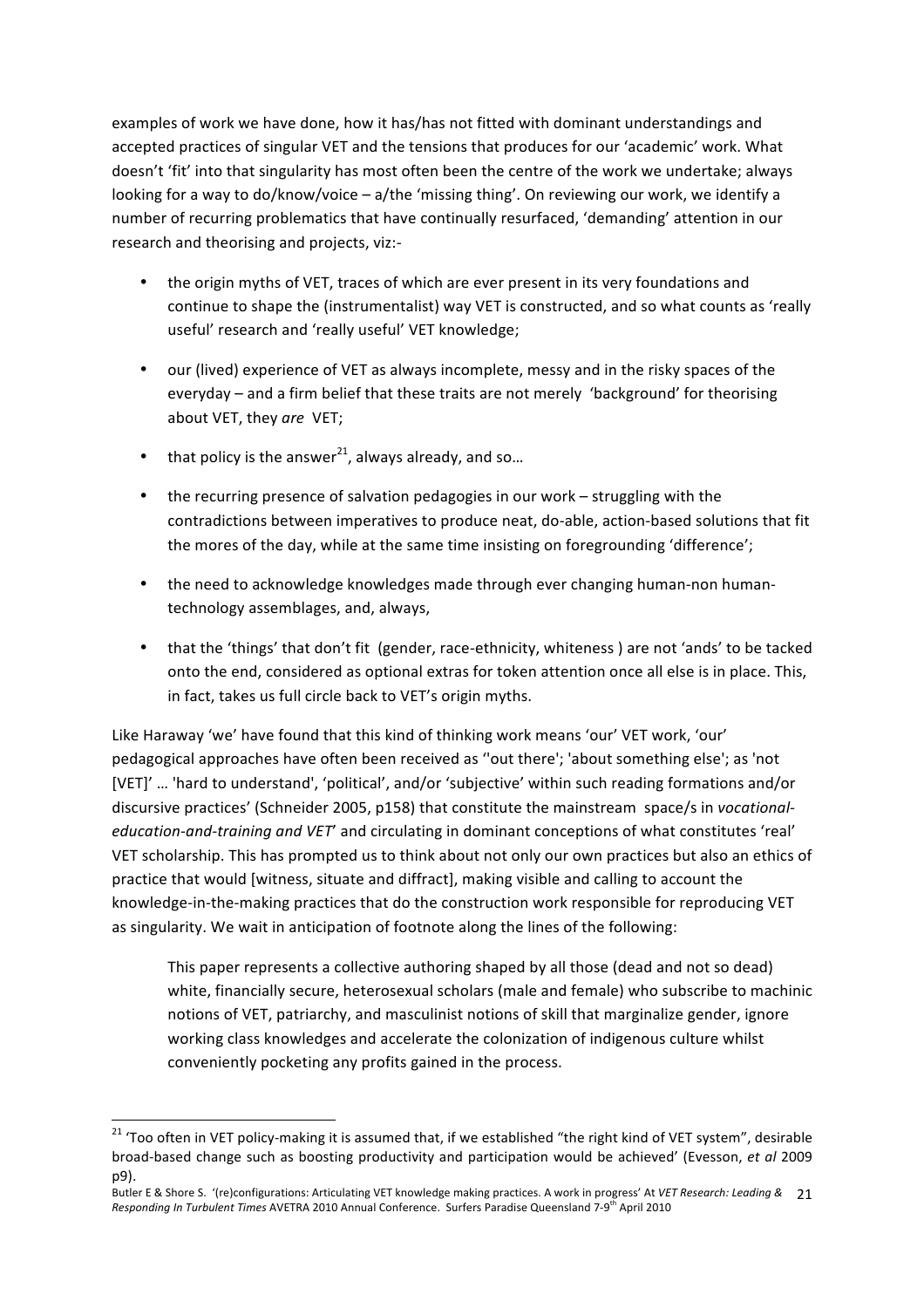examples of work we have done, how it has/has not fitted with dominant understandings and accepted practices of singular VET and the tensions that produces for our 'academic' work. What doesn't 'fit' into that singularity has most often been the centre of the work we undertake; always looking for a way to do/know/voice – a/the 'missing thing'. On reviewing our work, we identify a number of recurring problematics that have continually resurfaced, 'demanding' attention in our research and theorising and projects, viz:‐

- the origin myths of VET, traces of which are ever present in its very foundations and continue to shape the (instrumentalist) way VET is constructed, and so what counts as 'really useful' research and 'really useful' VET knowledge;
- our (lived) experience of VET as always incomplete, messy and in the risky spaces of the everyday – and a firm belief that these traits are not merely 'background' for theorising about VET, they *are* VET;
- that policy is the answer<sup>21</sup>, always already, and so...

<u> 1989 - Johann Stein, fransk politik (d. 1989)</u>

- the recurring presence of salvation pedagogies in our work struggling with the contradictions between imperatives to produce neat, do‐able, action‐based solutions that fit the mores of the day, while at the same time insisting on foregrounding 'difference';
- the need to acknowledge knowledges made through ever changing human-non humantechnology assemblages, and, always,
- that the 'things' that don't fit (gender, race-ethnicity, whiteness) are not 'ands' to be tacked onto the end, considered as optional extras for token attention once all else is in place. This, in fact, takes us full circle back to VET's origin myths.

Like Haraway 'we' have found that this kind of thinking work means 'our' VET work, 'our' pedagogical approaches have often been received as ''out there'; 'about something else'; as 'not [VET]' … 'hard to understand', 'political', and/or 'subjective' within such reading formations and/or discursive practices' (Schneider 2005, p158) that constitute the mainstream space/s in *vocational‐ education‐and‐training and VET*' and circulating in dominant conceptions of what constitutes 'real' VET scholarship. This has prompted us to think about not only our own practices but also an ethics of practice that would [witness, situate and diffract], making visible and calling to account the knowledge-in-the-making practices that do the construction work responsible for reproducing VET as singularity. We wait in anticipation of footnote along the lines of the following:

This paper represents a collective authoring shaped by all those (dead and not so dead) white, financially secure, heterosexual scholars (male and female) who subscribe to machinic notions of VET, patriarchy, and masculinist notions of skill that marginalize gender, ignore working class knowledges and accelerate the colonization of indigenous culture whilst conveniently pocketing any profits gained in the process.

<sup>&</sup>lt;sup>21</sup> 'Too often in VET policy-making it is assumed that, if we established "the right kind of VET system", desirable broad‐based change such as boosting productivity and participation would be achieved' (Evesson, *et al* 2009 p9).

Butler E & Shore S. '(re)configurations: Articulating VET knowledge making practices. A work in progress' At *VET Research: Leading &*  21 Responding In Turbulent Times AVETRA 2010 Annual Conference. Surfers Paradise Queensland 7-9<sup>th</sup> April 2010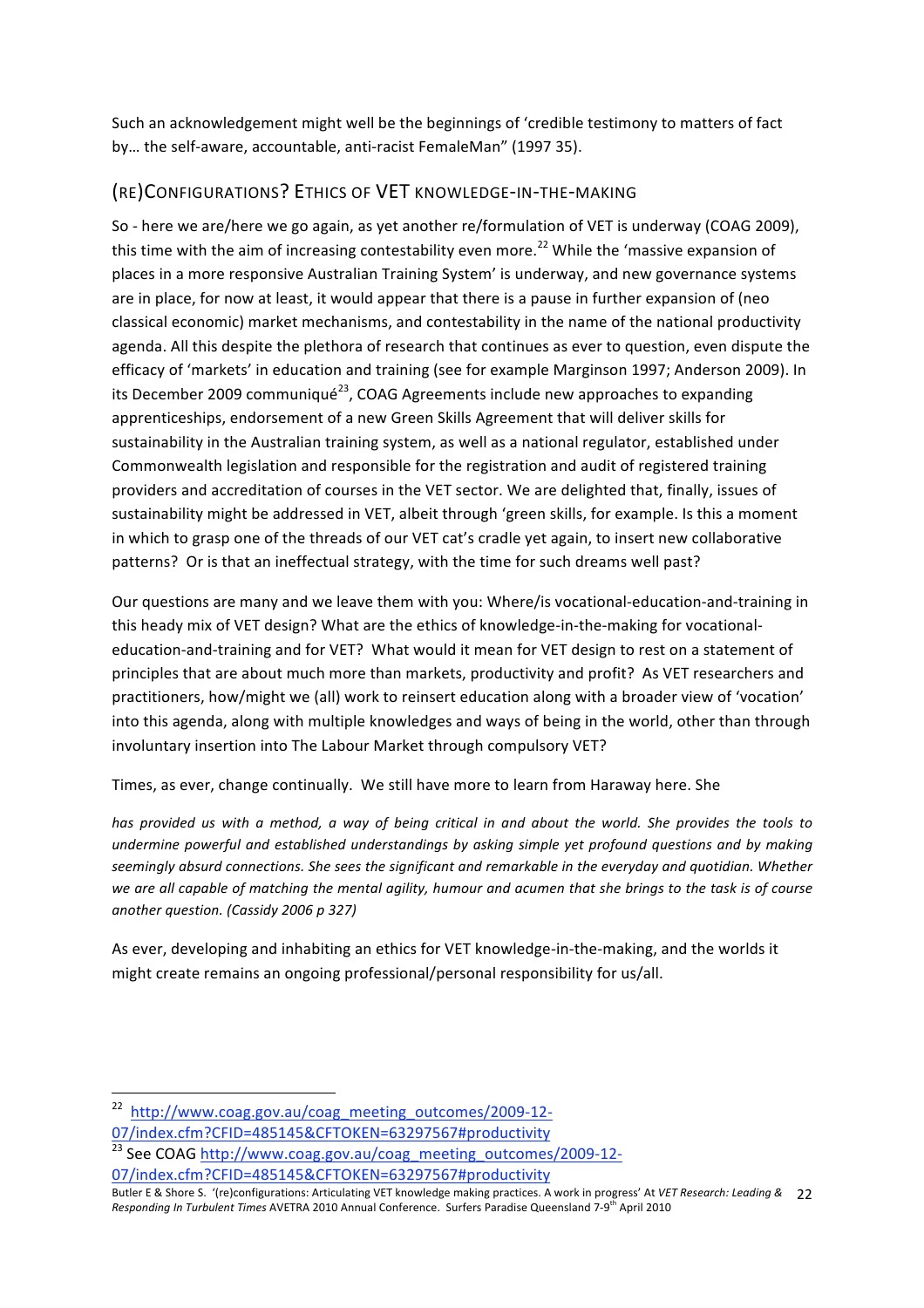Such an acknowledgement might well be the beginnings of 'credible testimony to matters of fact by… the self‐aware, accountable, anti‐racist FemaleMan" (1997 35).

## (RE)CONFIGURATIONS? ETHICS OF VET KNOWLEDGE‐IN‐THE‐MAKING

So - here we are/here we go again, as yet another re/formulation of VET is underway (COAG 2009), this time with the aim of increasing contestability even more.<sup>22</sup> While the 'massive expansion of places in a more responsive Australian Training System' is underway, and new governance systems are in place, for now at least, it would appear that there is a pause in further expansion of (neo classical economic) market mechanisms, and contestability in the name of the national productivity agenda. All this despite the plethora of research that continues as ever to question, even dispute the efficacy of 'markets' in education and training (see for example Marginson 1997; Anderson 2009). In its December 2009 communiqué<sup>23</sup>, COAG Agreements include new approaches to expanding apprenticeships, endorsement of a new Green Skills Agreement that will deliver skills for sustainability in the Australian training system, as well as a national regulator, established under Commonwealth legislation and responsible for the registration and audit of registered training providers and accreditation of courses in the VET sector. We are delighted that, finally, issues of sustainability might be addressed in VET, albeit through 'green skills, for example. Is this a moment in which to grasp one of the threads of our VET cat's cradle yet again, to insert new collaborative patterns? Or is that an ineffectual strategy, with the time for such dreams well past?

Our questions are many and we leave them with you: Where/is vocational-education-and-training in this heady mix of VET design? What are the ethics of knowledge-in-the-making for vocationaleducation‐and‐training and for VET? What would it mean for VET design to rest on a statement of principles that are about much more than markets, productivity and profit? As VET researchers and practitioners, how/might we (all) work to reinsert education along with a broader view of 'vocation' into this agenda, along with multiple knowledges and ways of being in the world, other than through involuntary insertion into The Labour Market through compulsory VET?

Times, as ever, change continually. We still have more to learn from Haraway here. She

*has provided us with a method, a way of being critical in and about the world. She provides the tools to undermine powerful and established understandings by asking simple yet profound questions and by making seemingly absurd connections. She sees the significant and remarkable in the everyday and quotidian. Whether we are all capable of matching the mental agility, humour and acumen that she brings to the task is of course another question. (Cassidy 2006 p 327)*

As ever, developing and inhabiting an ethics for VET knowledge‐in‐the‐making, and the worlds it might create remains an ongoing professional/personal responsibility for us/all.

<u> 1989 - Johann Stein, fransk politik (d. 1989)</u>

<sup>23</sup> See COAG http://www.coag.gov.au/coag\_meeting\_outcomes/2009-12-07/index.cfm?CFID=485145&CFTOKEN=63297567#productivity

<sup>&</sup>lt;sup>22</sup> http://www.coag.gov.au/coag\_meeting\_outcomes/2009-12-07/index.cfm?CFID=485145&CFTOKEN=63297567#productivity

Butler E & Shore S. '(re)configurations: Articulating VET knowledge making practices. A work in progress' At *VET Research: Leading &*  22 Responding In Turbulent Times AVETRA 2010 Annual Conference. Surfers Paradise Queensland 7-9<sup>th</sup> April 2010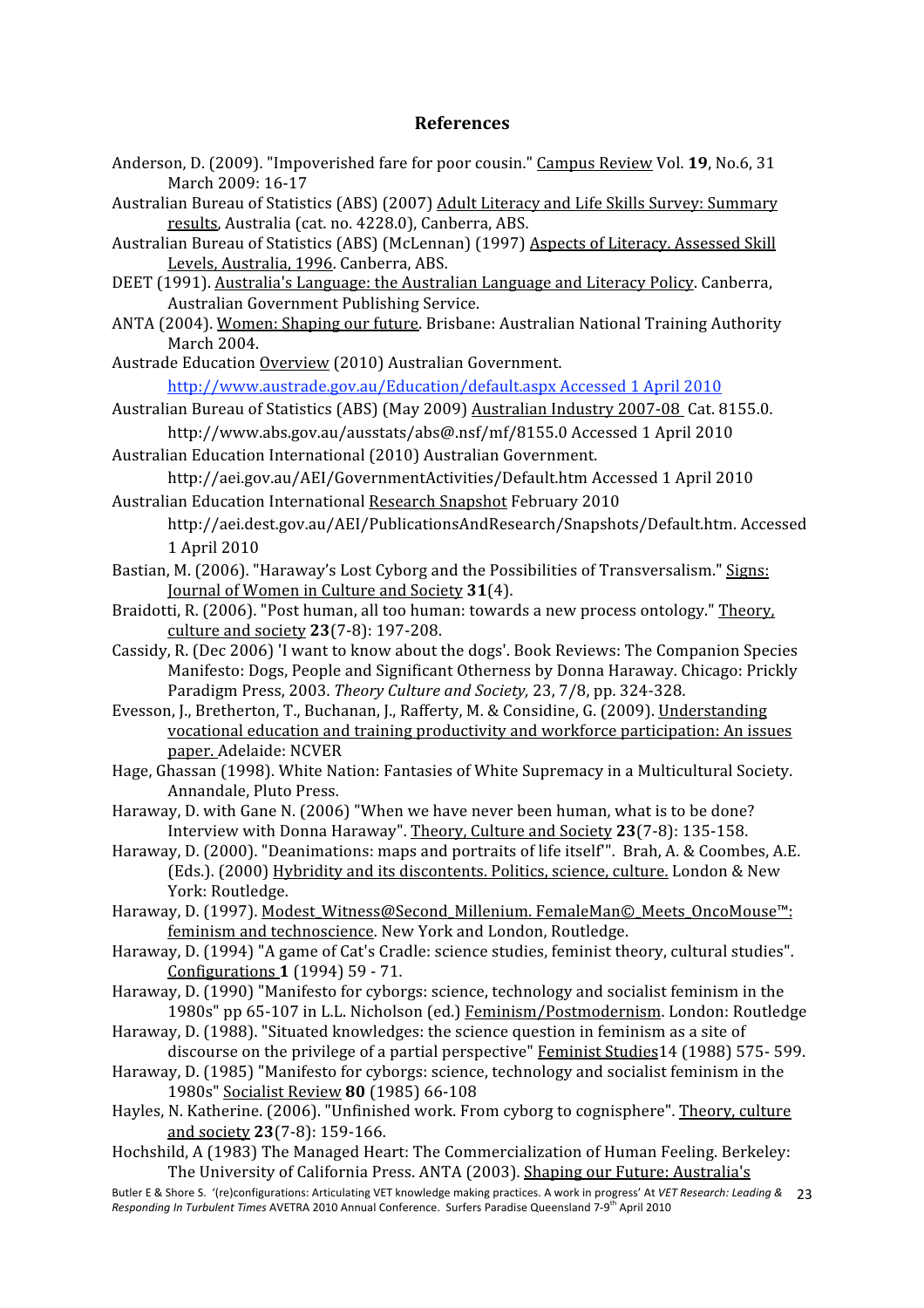#### **References**

- Anderson, D. (2009). "Impoverished fare for poor cousin." Campus Review Vol. **19**, No.6, 31 March 2009: 16‐17
- Australian Bureau of Statistics (ABS) (2007) Adult Literacy and Life Skills Survey: Summary results, Australia (cat. no. 4228.0), Canberra, ABS.
- Australian Bureau of Statistics (ABS) (McLennan) (1997) Aspects of Literacy. Assessed Skill Levels, Australia, 1996. Canberra, ABS.
- DEET (1991). Australia's Language: the Australian Language and Literacy Policy. Canberra, Australian Government Publishing Service.
- ANTA (2004). Women: Shaping our future. Brisbane: Australian National Training Authority March 2004.
- Austrade Education Overview (2010) Australian Government. http://www.austrade.gov.au/Education/default.aspx Accessed 1 April 2010
- Australian Bureau of Statistics (ABS) (May 2009) Australian Industry 2007‐08 Cat. 8155.0. http://www.abs.gov.au/ausstats/abs@.nsf/mf/8155.0 Accessed 1 April 2010
- Australian Education International (2010) Australian Government. http://aei.gov.au/AEI/GovernmentActivities/Default.htm Accessed 1 April 2010
- Australian Education International Research Snapshot February 2010
	- http://aei.dest.gov.au/AEI/PublicationsAndResearch/Snapshots/Default.htm. Accessed 1 April 2010
- Bastian, M. (2006). "Haraway's Lost Cyborg and the Possibilities of Transversalism." Signs: Journal of Women in Culture and Society **31**(4).
- Braidotti, R. (2006). "Post human, all too human: towards a new process ontology." Theory, culture and society **23**(7‐8): 197‐208.
- Cassidy, R. (Dec 2006) 'I want to know about the dogs'. Book Reviews: The Companion Species Manifesto: Dogs, People and Significant Otherness by Donna Haraway. Chicago: Prickly Paradigm Press, 2003. *Theory Culture and Society,* 23, 7/8, pp. 324‐328.
- Evesson, J., Bretherton, T., Buchanan, J., Rafferty, M. & Considine, G. (2009). Understanding vocational education and training productivity and workforce participation: An issues paper. Adelaide: NCVER
- Hage, Ghassan (1998). White Nation: Fantasies of White Supremacy in a Multicultural Society. Annandale, Pluto Press.
- Haraway, D. with Gane N. (2006) "When we have never been human, what is to be done? Interview with Donna Haraway". Theory, Culture and Society **23**(7‐8): 135‐158.
- Haraway, D. (2000). "Deanimations: maps and portraits of life itself'". Brah, A. & Coombes, A.E. (Eds.). (2000) Hybridity and its discontents. Politics, science, culture. London & New York: Routledge.
- Haraway, D. (1997). Modest\_Witness@Second\_Millenium. FemaleMan©\_Meets\_OncoMouse™: feminism and technoscience. New York and London, Routledge.
- Haraway, D. (1994) "A game of Cat's Cradle: science studies, feminist theory, cultural studies". Configurations **1** (1994) 59 ‐ 71.
- Haraway, D. (1990) "Manifesto for cyborgs: science, technology and socialist feminism in the 1980s" pp 65-107 in L.L. Nicholson (ed.) Feminism/Postmodernism. London: Routledge
- Haraway, D. (1988). "Situated knowledges: the science question in feminism as a site of discourse on the privilege of a partial perspective" Feminist Studies14 (1988) 575‐ 599.
- Haraway, D. (1985) "Manifesto for cyborgs: science, technology and socialist feminism in the 1980s" Socialist Review **80** (1985) 66‐108
- Hayles, N. Katherine. (2006). "Unfinished work. From cyborg to cognisphere". Theory, culture and society **23**(7‐8): 159‐166.
- Hochshild, A (1983) The Managed Heart: The Commercialization of Human Feeling. Berkeley: The University of California Press. ANTA (2003). Shaping our Future: Australia's